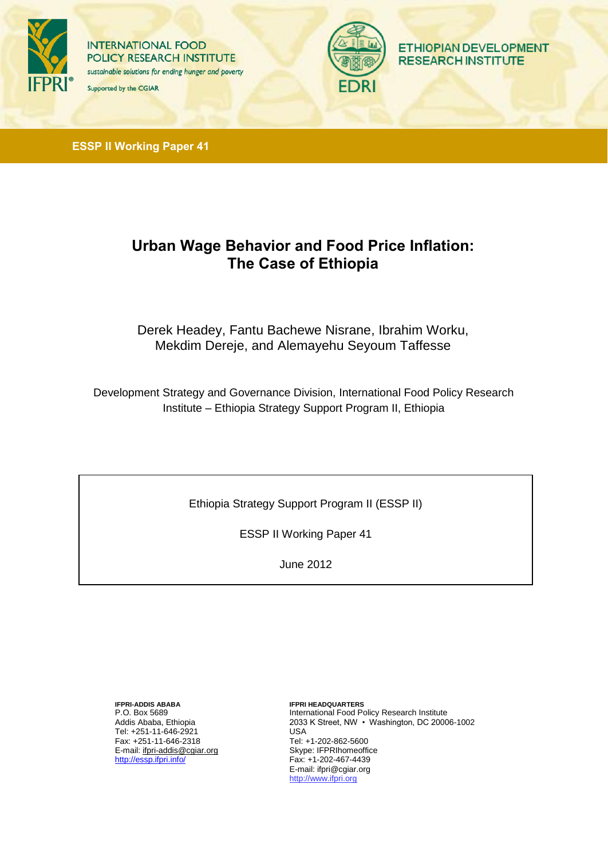

**INTERNATIONAL FOOD POLICY RESEARCH INSTITUTE** sustainable solutions for ending hunger and poverty Supported by the CGIAR



**ETHIOPIAN DEVELOPMENT RESEARCH INSTITUTE** 

**ESSP II Working Paper 41**

# **Urban Wage Behavior and Food Price Inflation: The Case of Ethiopia**

Derek Headey, Fantu Bachewe Nisrane, Ibrahim Worku, Mekdim Dereje, and Alemayehu Seyoum Taffesse

Development Strategy and Governance Division, International Food Policy Research Institute – Ethiopia Strategy Support Program II, Ethiopia

Ethiopia Strategy Support Program II (ESSP II)

ESSP II Working Paper 41

June 2012

**IFPRI-ADDIS ABABA** P.O. Box 5689 Addis Ababa, Ethiopia Tel: +251-11-646-2921 Fax: +251-11-646-2318 E-mail: [ifpri-addis@cgiar.org](mailto:ifpri-addis@cgiar.org) <http://essp.ifpri.info/>

**IFPRI HEADQUARTERS** International Food Policy Research Institute 2033 K Street, NW • Washington, DC 20006-1002 USA Tel: +1-202-862-5600 Skype: IFPRIhomeoffice Fax: +1-202-467-4439 E-mail: [ifpri@cgiar.org](mailto:ifpri@cgiar.org)  http:[//www.ifpri.org](http://www.ifpri.org/)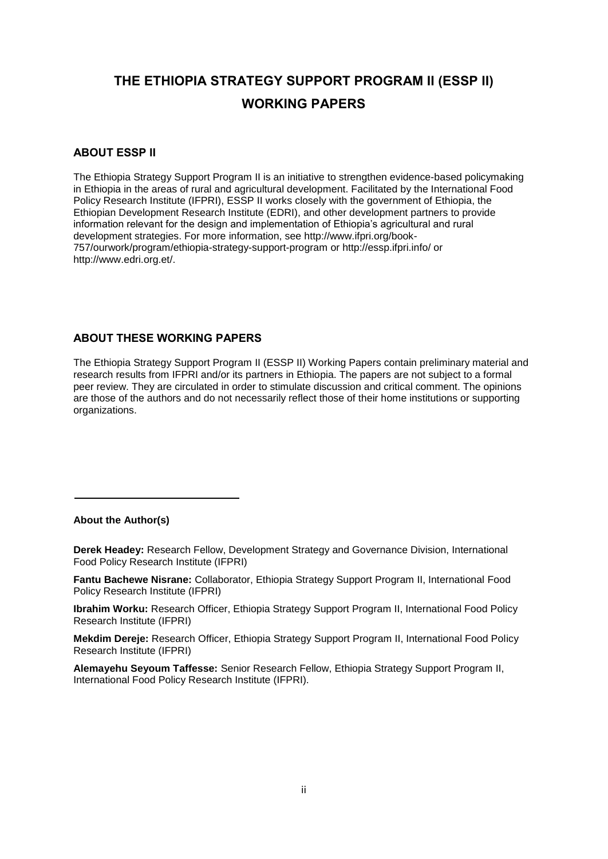# **THE ETHIOPIA STRATEGY SUPPORT PROGRAM II (ESSP II) WORKING PAPERS**

#### **ABOUT ESSP II**

The Ethiopia Strategy Support Program II is an initiative to strengthen evidence-based policymaking in Ethiopia in the areas of rural and agricultural development. Facilitated by the International Food Policy Research Institute (IFPRI), ESSP II works closely with the government of Ethiopia, the Ethiopian Development Research Institute (EDRI), and other development partners to provide information relevant for the design and implementation of Ethiopia's agricultural and rural development strategies. For more information, see [http://www.ifpri.org/book-](http://www.ifpri.org/book-757/ourwork/program/ethiopia-strategy-support-program)[757/ourwork/program/ethiopia-strategy-support-program](http://www.ifpri.org/book-757/ourwork/program/ethiopia-strategy-support-program) or<http://essp.ifpri.info/> or [http://www.edri.org.et/.](http://www.edri.org.et/) 

### **ABOUT THESE WORKING PAPERS**

The Ethiopia Strategy Support Program II (ESSP II) Working Papers contain preliminary material and research results from IFPRI and/or its partners in Ethiopia. The papers are not subject to a formal peer review. They are circulated in order to stimulate discussion and critical comment. The opinions are those of the authors and do not necessarily reflect those of their home institutions or supporting organizations.

#### **About the Author(s)**

**Derek Headey:** Research Fellow, Development Strategy and Governance Division, International Food Policy Research Institute (IFPRI)

**Fantu Bachewe Nisrane:** Collaborator, Ethiopia Strategy Support Program II, International Food Policy Research Institute (IFPRI)

**Ibrahim Worku:** Research Officer, Ethiopia Strategy Support Program II, International Food Policy Research Institute (IFPRI)

**Mekdim Dereje:** Research Officer, Ethiopia Strategy Support Program II, International Food Policy Research Institute (IFPRI)

**Alemayehu Seyoum Taffesse:** Senior Research Fellow, Ethiopia Strategy Support Program II, International Food Policy Research Institute (IFPRI).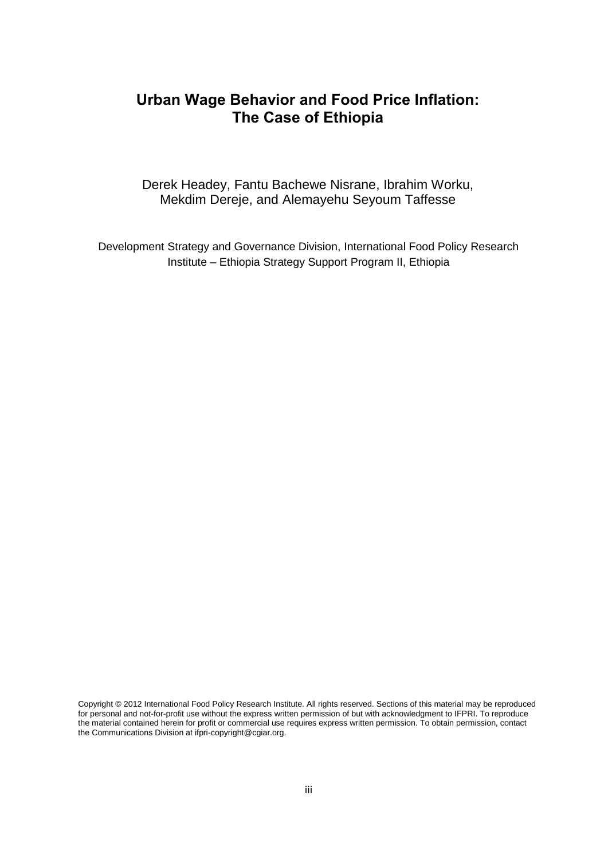## **Urban Wage Behavior and Food Price Inflation: The Case of Ethiopia**

Derek Headey, Fantu Bachewe Nisrane, Ibrahim Worku, Mekdim Dereje, and Alemayehu Seyoum Taffesse

Development Strategy and Governance Division, International Food Policy Research Institute – Ethiopia Strategy Support Program II, Ethiopia

Copyright © 2012 International Food Policy Research Institute. All rights reserved. Sections of this material may be reproduced for personal and not-for-profit use without the express written permission of but with acknowledgment to IFPRI. To reproduce the material contained herein for profit or commercial use requires express written permission. To obtain permission, contact the Communications Division at ifpri-copyright@cgiar.org.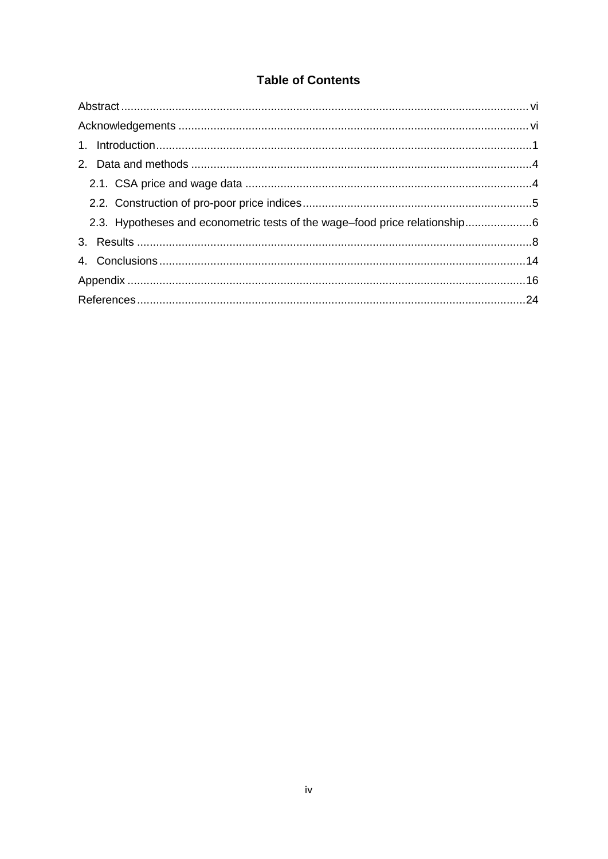## **Table of Contents**

| 2.3. Hypotheses and econometric tests of the wage-food price relationship6 |  |
|----------------------------------------------------------------------------|--|
|                                                                            |  |
|                                                                            |  |
|                                                                            |  |
|                                                                            |  |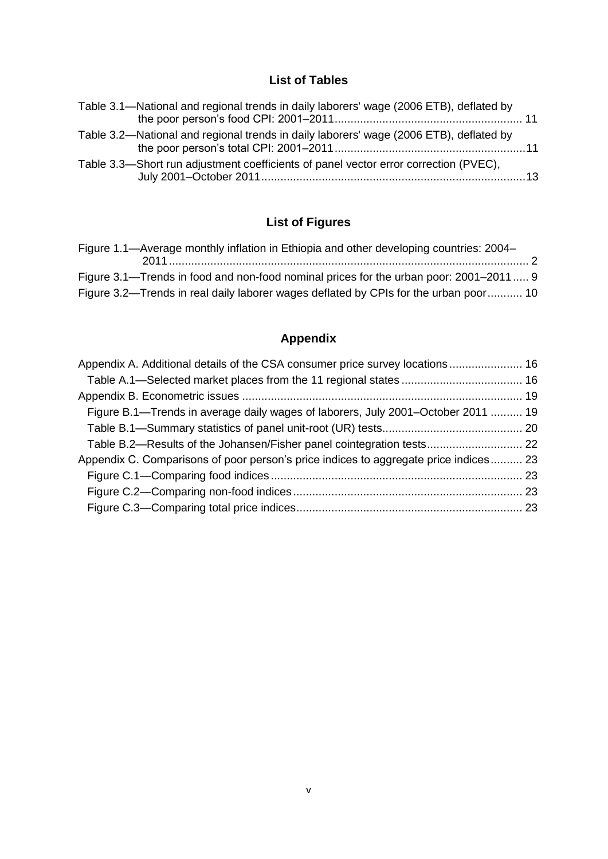## **List of Tables**

| Table 3.1—National and regional trends in daily laborers' wage (2006 ETB), deflated by |  |
|----------------------------------------------------------------------------------------|--|
| Table 3.2—National and regional trends in daily laborers' wage (2006 ETB), deflated by |  |
| Table 3.3—Short run adjustment coefficients of panel vector error correction (PVEC),   |  |

# **List of Figures**

| Figure 1.1—Average monthly inflation in Ethiopia and other developing countries: 2004– |  |
|----------------------------------------------------------------------------------------|--|
|                                                                                        |  |
| Figure 3.1—Trends in food and non-food nominal prices for the urban poor: 2001–2011 9  |  |
| Figure 3.2—Trends in real daily laborer wages deflated by CPIs for the urban poor 10   |  |

# **Appendix**

| Appendix A. Additional details of the CSA consumer price survey locations 16         |  |
|--------------------------------------------------------------------------------------|--|
|                                                                                      |  |
|                                                                                      |  |
| Figure B.1—Trends in average daily wages of laborers, July 2001–October 2011  19     |  |
|                                                                                      |  |
|                                                                                      |  |
| Appendix C. Comparisons of poor person's price indices to aggregate price indices 23 |  |
|                                                                                      |  |
|                                                                                      |  |
|                                                                                      |  |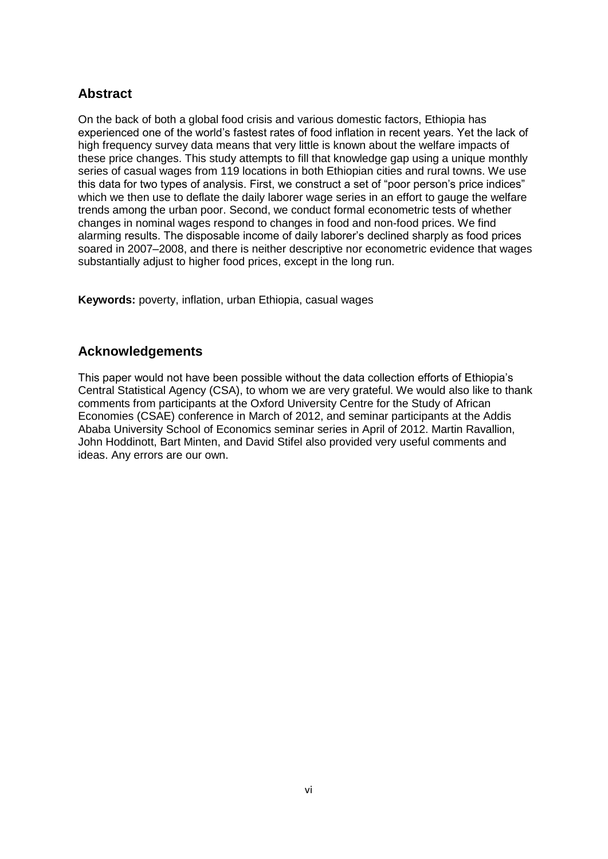### <span id="page-5-0"></span>**Abstract**

On the back of both a global food crisis and various domestic factors, Ethiopia has experienced one of the world's fastest rates of food inflation in recent years. Yet the lack of high frequency survey data means that very little is known about the welfare impacts of these price changes. This study attempts to fill that knowledge gap using a unique monthly series of casual wages from 119 locations in both Ethiopian cities and rural towns. We use this data for two types of analysis. First, we construct a set of "poor person's price indices" which we then use to deflate the daily laborer wage series in an effort to gauge the welfare trends among the urban poor. Second, we conduct formal econometric tests of whether changes in nominal wages respond to changes in food and non-food prices. We find alarming results. The disposable income of daily laborer's declined sharply as food prices soared in 2007–2008, and there is neither descriptive nor econometric evidence that wages substantially adjust to higher food prices, except in the long run.

**Keywords:** poverty, inflation, urban Ethiopia, casual wages

### <span id="page-5-1"></span>**Acknowledgements**

This paper would not have been possible without the data collection efforts of Ethiopia's Central Statistical Agency (CSA), to whom we are very grateful. We would also like to thank comments from participants at the Oxford University Centre for the Study of African Economies (CSAE) conference in March of 2012, and seminar participants at the Addis Ababa University School of Economics seminar series in April of 2012. Martin Ravallion, John Hoddinott, Bart Minten, and David Stifel also provided very useful comments and ideas. Any errors are our own.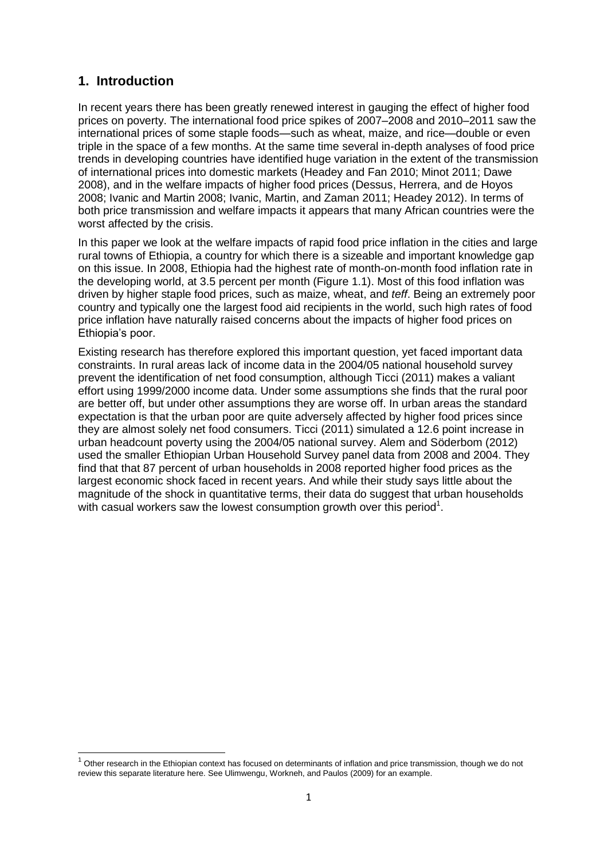### <span id="page-6-0"></span>**1. Introduction**

 $\overline{a}$ 

In recent years there has been greatly renewed interest in gauging the effect of higher food prices on poverty. The international food price spikes of 2007–2008 and 2010–2011 saw the international prices of some staple foods—such as wheat, maize, and rice—double or even triple in the space of a few months. At the same time several in-depth analyses of food price trends in developing countries have identified huge variation in the extent of the transmission of international prices into domestic markets (Headey and Fan 2010; Minot 2011; Dawe 2008), and in the welfare impacts of higher food prices (Dessus, Herrera, and de Hoyos 2008; Ivanic and Martin 2008; Ivanic, Martin, and Zaman 2011; Headey 2012). In terms of both price transmission and welfare impacts it appears that many African countries were the worst affected by the crisis.

In this paper we look at the welfare impacts of rapid food price inflation in the cities and large rural towns of Ethiopia, a country for which there is a sizeable and important knowledge gap on this issue. In 2008, Ethiopia had the highest rate of month-on-month food inflation rate in the developing world, at 3.5 percent per month (Figure 1.1). Most of this food inflation was driven by higher staple food prices, such as maize, wheat, and *teff*. Being an extremely poor country and typically one the largest food aid recipients in the world, such high rates of food price inflation have naturally raised concerns about the impacts of higher food prices on Ethiopia's poor.

Existing research has therefore explored this important question, yet faced important data constraints. In rural areas lack of income data in the 2004/05 national household survey prevent the identification of net food consumption, although Ticci (2011) makes a valiant effort using 1999/2000 income data. Under some assumptions she finds that the rural poor are better off, but under other assumptions they are worse off. In urban areas the standard expectation is that the urban poor are quite adversely affected by higher food prices since they are almost solely net food consumers. Ticci (2011) simulated a 12.6 point increase in urban headcount poverty using the 2004/05 national survey. Alem and Söderbom (2012) used the smaller Ethiopian Urban Household Survey panel data from 2008 and 2004. They find that that 87 percent of urban households in 2008 reported higher food prices as the largest economic shock faced in recent years. And while their study says little about the magnitude of the shock in quantitative terms, their data do suggest that urban households with casual workers saw the lowest consumption growth over this period<sup>1</sup>.

<sup>1</sup> Other research in the Ethiopian context has focused on determinants of inflation and price transmission, though we do not review this separate literature here. See Ulimwengu, Workneh, and Paulos (2009) for an example.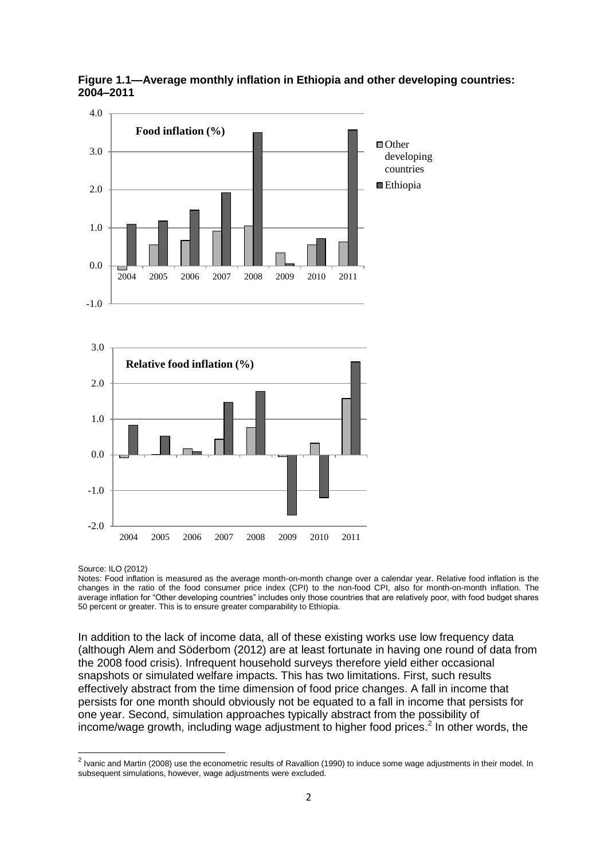

<span id="page-7-0"></span>**Figure 1.1—Average monthly inflation in Ethiopia and other developing countries: 2004–2011**

Source: ILO (2012)

Notes: Food inflation is measured as the average month-on-month change over a calendar year. Relative food inflation is the changes in the ratio of the food consumer price index (CPI) to the non-food CPI, also for month-on-month inflation. The average inflation for "Other developing countries" includes only those countries that are relatively poor, with food budget shares 50 percent or greater. This is to ensure greater comparability to Ethiopia.

In addition to the lack of income data, all of these existing works use low frequency data (although Alem and Söderbom (2012) are at least fortunate in having one round of data from the 2008 food crisis). Infrequent household surveys therefore yield either occasional snapshots or simulated welfare impacts. This has two limitations. First, such results effectively abstract from the time dimension of food price changes. A fall in income that persists for one month should obviously not be equated to a fall in income that persists for one year. Second, simulation approaches typically abstract from the possibility of income/wage growth, including wage adjustment to higher food prices.<sup>2</sup> In other words, the

<sup>&</sup>lt;u>2</u><br><sup>2</sup> Ivanic and Martin (2008) use the econometric results of Ravallion (1990) to induce some wage adjustments in their model. In subsequent simulations, however, wage adjustments were excluded.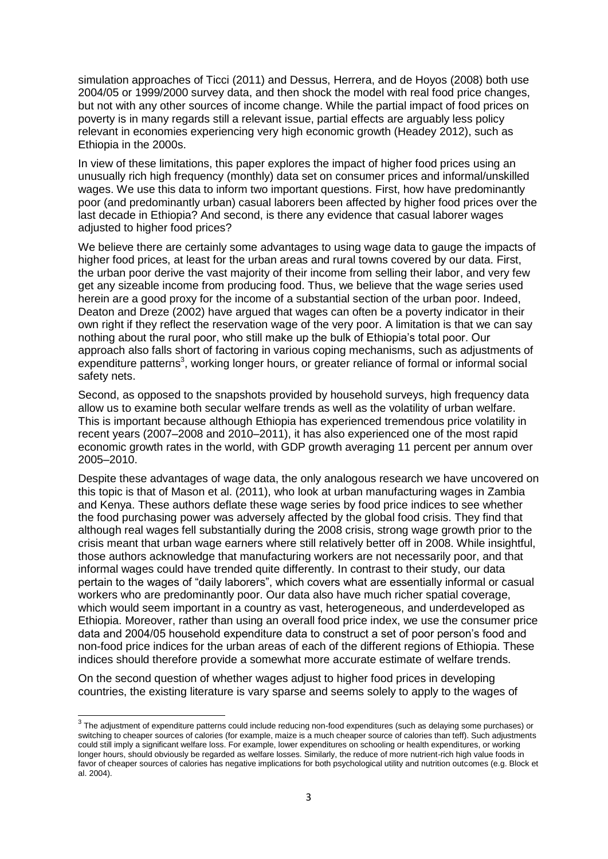simulation approaches of Ticci (2011) and Dessus, Herrera, and de Hoyos (2008) both use 2004/05 or 1999/2000 survey data, and then shock the model with real food price changes, but not with any other sources of income change. While the partial impact of food prices on poverty is in many regards still a relevant issue, partial effects are arguably less policy relevant in economies experiencing very high economic growth (Headey 2012), such as Ethiopia in the 2000s.

In view of these limitations, this paper explores the impact of higher food prices using an unusually rich high frequency (monthly) data set on consumer prices and informal/unskilled wages. We use this data to inform two important questions. First, how have predominantly poor (and predominantly urban) casual laborers been affected by higher food prices over the last decade in Ethiopia? And second, is there any evidence that casual laborer wages adjusted to higher food prices?

We believe there are certainly some advantages to using wage data to gauge the impacts of higher food prices, at least for the urban areas and rural towns covered by our data. First, the urban poor derive the vast majority of their income from selling their labor, and very few get any sizeable income from producing food. Thus, we believe that the wage series used herein are a good proxy for the income of a substantial section of the urban poor. Indeed, Deaton and Dreze (2002) have argued that wages can often be a poverty indicator in their own right if they reflect the reservation wage of the very poor. A limitation is that we can say nothing about the rural poor, who still make up the bulk of Ethiopia's total poor. Our approach also falls short of factoring in various coping mechanisms, such as adjustments of expenditure patterns<sup>3</sup>, working longer hours, or greater reliance of formal or informal social safety nets.

Second, as opposed to the snapshots provided by household surveys, high frequency data allow us to examine both secular welfare trends as well as the volatility of urban welfare. This is important because although Ethiopia has experienced tremendous price volatility in recent years (2007–2008 and 2010–2011), it has also experienced one of the most rapid economic growth rates in the world, with GDP growth averaging 11 percent per annum over 2005–2010.

Despite these advantages of wage data, the only analogous research we have uncovered on this topic is that of Mason et al. (2011), who look at urban manufacturing wages in Zambia and Kenya. These authors deflate these wage series by food price indices to see whether the food purchasing power was adversely affected by the global food crisis. They find that although real wages fell substantially during the 2008 crisis, strong wage growth prior to the crisis meant that urban wage earners where still relatively better off in 2008. While insightful, those authors acknowledge that manufacturing workers are not necessarily poor, and that informal wages could have trended quite differently. In contrast to their study, our data pertain to the wages of "daily laborers", which covers what are essentially informal or casual workers who are predominantly poor. Our data also have much richer spatial coverage, which would seem important in a country as vast, heterogeneous, and underdeveloped as Ethiopia. Moreover, rather than using an overall food price index, we use the consumer price data and 2004/05 household expenditure data to construct a set of poor person's food and non-food price indices for the urban areas of each of the different regions of Ethiopia. These indices should therefore provide a somewhat more accurate estimate of welfare trends.

On the second question of whether wages adjust to higher food prices in developing countries, the existing literature is vary sparse and seems solely to apply to the wages of

 3 The adjustment of expenditure patterns could include reducing non-food expenditures (such as delaying some purchases) or switching to cheaper sources of calories (for example, maize is a much cheaper source of calories than teff). Such adjustments could still imply a significant welfare loss. For example, lower expenditures on schooling or health expenditures, or working longer hours, should obviously be regarded as welfare losses. Similarly, the reduce of more nutrient-rich high value foods in favor of cheaper sources of calories has negative implications for both psychological utility and nutrition outcomes (e.g. Block et al. 2004).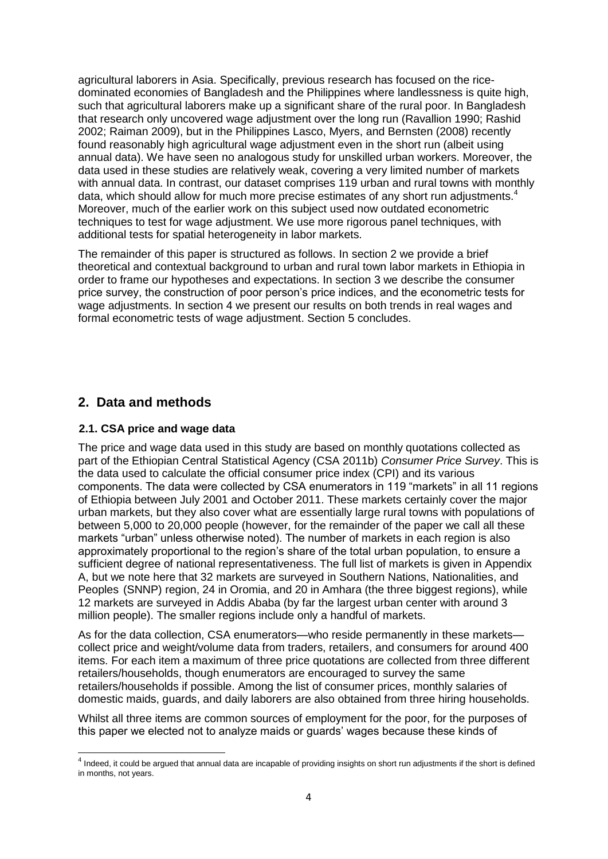agricultural laborers in Asia. Specifically, previous research has focused on the ricedominated economies of Bangladesh and the Philippines where landlessness is quite high, such that agricultural laborers make up a significant share of the rural poor. In Bangladesh that research only uncovered wage adjustment over the long run (Ravallion 1990; Rashid 2002; Raiman 2009), but in the Philippines Lasco, Myers, and Bernsten (2008) recently found reasonably high agricultural wage adjustment even in the short run (albeit using annual data). We have seen no analogous study for unskilled urban workers. Moreover, the data used in these studies are relatively weak, covering a very limited number of markets with annual data. In contrast, our dataset comprises 119 urban and rural towns with monthly data, which should allow for much more precise estimates of any short run adjustments.<sup>4</sup> Moreover, much of the earlier work on this subject used now outdated econometric techniques to test for wage adjustment. We use more rigorous panel techniques, with additional tests for spatial heterogeneity in labor markets.

The remainder of this paper is structured as follows. In section 2 we provide a brief theoretical and contextual background to urban and rural town labor markets in Ethiopia in order to frame our hypotheses and expectations. In section 3 we describe the consumer price survey, the construction of poor person's price indices, and the econometric tests for wage adjustments. In section 4 we present our results on both trends in real wages and formal econometric tests of wage adjustment. Section 5 concludes.

### <span id="page-9-0"></span>**2. Data and methods**

### <span id="page-9-1"></span>**2.1. CSA price and wage data**

The price and wage data used in this study are based on monthly quotations collected as part of the Ethiopian Central Statistical Agency (CSA 2011b) *Consumer Price Survey*. This is the data used to calculate the official consumer price index (CPI) and its various components. The data were collected by CSA enumerators in 119 "markets" in all 11 regions of Ethiopia between July 2001 and October 2011. These markets certainly cover the major urban markets, but they also cover what are essentially large rural towns with populations of between 5,000 to 20,000 people (however, for the remainder of the paper we call all these markets "urban" unless otherwise noted). The number of markets in each region is also approximately proportional to the region's share of the total urban population, to ensure a sufficient degree of national representativeness. The full list of markets is given in Appendix A, but we note here that 32 markets are surveyed in Southern Nations, Nationalities, and Peoples (SNNP) region, 24 in Oromia, and 20 in Amhara (the three biggest regions), while 12 markets are surveyed in Addis Ababa (by far the largest urban center with around 3 million people). The smaller regions include only a handful of markets.

As for the data collection, CSA enumerators—who reside permanently in these markets collect price and weight/volume data from traders, retailers, and consumers for around 400 items. For each item a maximum of three price quotations are collected from three different retailers/households, though enumerators are encouraged to survey the same retailers/households if possible. Among the list of consumer prices, monthly salaries of domestic maids, guards, and daily laborers are also obtained from three hiring households.

Whilst all three items are common sources of employment for the poor, for the purposes of this paper we elected not to analyze maids or guards' wages because these kinds of

and the definition of the servent of the state of the state of the state of the short in a series to the short is defined that annual data are incapable of providing insights on short run adjustments if the short is define in months, not years.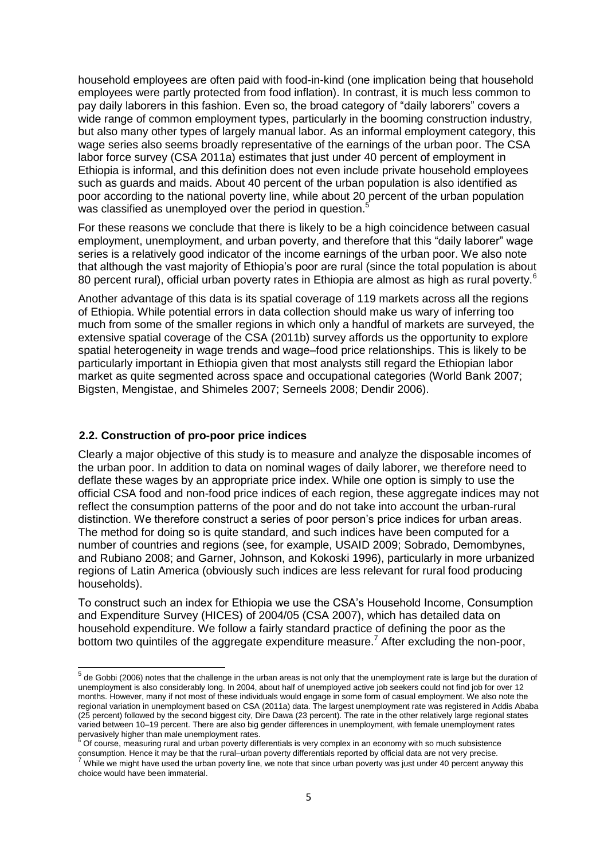household employees are often paid with food-in-kind (one implication being that household employees were partly protected from food inflation). In contrast, it is much less common to pay daily laborers in this fashion. Even so, the broad category of "daily laborers" covers a wide range of common employment types, particularly in the booming construction industry, but also many other types of largely manual labor. As an informal employment category, this wage series also seems broadly representative of the earnings of the urban poor. The CSA labor force survey (CSA 2011a) estimates that just under 40 percent of employment in Ethiopia is informal, and this definition does not even include private household employees such as guards and maids. About 40 percent of the urban population is also identified as poor according to the national poverty line, while about 20 percent of the urban population was classified as unemployed over the period in question.<sup>5</sup>

For these reasons we conclude that there is likely to be a high coincidence between casual employment, unemployment, and urban poverty, and therefore that this "daily laborer" wage series is a relatively good indicator of the income earnings of the urban poor. We also note that although the vast majority of Ethiopia's poor are rural (since the total population is about 80 percent rural), official urban poverty rates in Ethiopia are almost as high as rural poverty.<sup>6</sup>

Another advantage of this data is its spatial coverage of 119 markets across all the regions of Ethiopia. While potential errors in data collection should make us wary of inferring too much from some of the smaller regions in which only a handful of markets are surveyed, the extensive spatial coverage of the CSA (2011b) survey affords us the opportunity to explore spatial heterogeneity in wage trends and wage–food price relationships. This is likely to be particularly important in Ethiopia given that most analysts still regard the Ethiopian labor market as quite segmented across space and occupational categories (World Bank 2007; Bigsten, Mengistae, and Shimeles 2007; Serneels 2008; Dendir 2006).

#### <span id="page-10-0"></span>**2.2. Construction of pro-poor price indices**

Clearly a major objective of this study is to measure and analyze the disposable incomes of the urban poor. In addition to data on nominal wages of daily laborer, we therefore need to deflate these wages by an appropriate price index. While one option is simply to use the official CSA food and non-food price indices of each region, these aggregate indices may not reflect the consumption patterns of the poor and do not take into account the urban-rural distinction. We therefore construct a series of poor person's price indices for urban areas. The method for doing so is quite standard, and such indices have been computed for a number of countries and regions (see, for example, USAID 2009; Sobrado, Demombynes, and Rubiano 2008; and Garner, Johnson, and Kokoski 1996), particularly in more urbanized regions of Latin America (obviously such indices are less relevant for rural food producing households).

To construct such an index for Ethiopia we use the CSA's Household Income, Consumption and Expenditure Survey (HICES) of 2004/05 (CSA 2007), which has detailed data on household expenditure. We follow a fairly standard practice of defining the poor as the bottom two quintiles of the aggregate expenditure measure.<sup>7</sup> After excluding the non-poor,

<sup>6</sup> Of course, measuring rural and urban poverty differentials is very complex in an economy with so much subsistence consumption. Hence it may be that the rural–urban poverty differentials reported by official data are not very precise.

<sup>&</sup>lt;u>the Gobbi (2006) notes that the challenge in the urban areas is not only that the unemployment rate is large but the duration of the duration of the duration of the duration of the duration of the duration of the duration</u> unemployment is also considerably long. In 2004, about half of unemployed active job seekers could not find job for over 12 months. However, many if not most of these individuals would engage in some form of casual employment. We also note the regional variation in unemployment based on CSA (2011a) data. The largest unemployment rate was registered in Addis Ababa (25 percent) followed by the second biggest city, Dire Dawa (23 percent). The rate in the other relatively large regional states varied between 10–19 percent. There are also big gender differences in unemployment, with female unemployment rates pervasively higher than male unemployment rates.

While we might have used the urban poverty line, we note that since urban poverty was just under 40 percent anyway this choice would have been immaterial.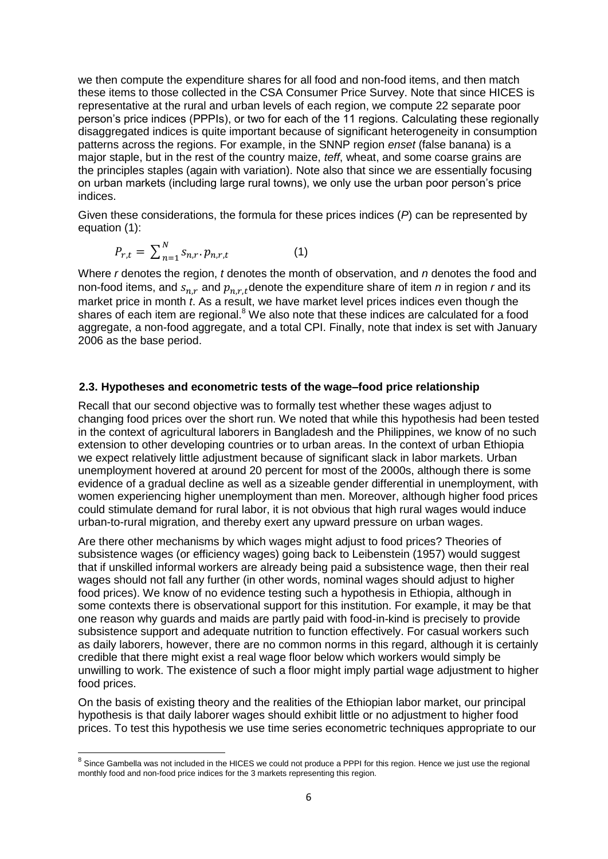we then compute the expenditure shares for all food and non-food items, and then match these items to those collected in the CSA Consumer Price Survey. Note that since HICES is representative at the rural and urban levels of each region, we compute 22 separate poor person's price indices (PPPIs), or two for each of the 11 regions. Calculating these regionally disaggregated indices is quite important because of significant heterogeneity in consumption patterns across the regions. For example, in the SNNP region *enset* (false banana) is a major staple, but in the rest of the country maize, *teff*, wheat, and some coarse grains are the principles staples (again with variation). Note also that since we are essentially focusing on urban markets (including large rural towns), we only use the urban poor person's price indices.

Given these considerations, the formula for these prices indices (*P*) can be represented by equation (1):

$$
P_{r,t} = \sum_{n=1}^{N} s_{n,r} \cdot p_{n,r,t} \tag{1}
$$

Where *r* denotes the region, *t* denotes the month of observation, and *n* denotes the food and non-food items, and  $S_{n,r}$  and  $p_{n,r}$  denote the expenditure share of item *n* in region *r* and its market price in month *t*. As a result, we have market level prices indices even though the shares of each item are regional.<sup>8</sup> We also note that these indices are calculated for a food aggregate, a non-food aggregate, and a total CPI. Finally, note that index is set with January 2006 as the base period.

#### <span id="page-11-0"></span>**2.3. Hypotheses and econometric tests of the wage–food price relationship**

Recall that our second objective was to formally test whether these wages adjust to changing food prices over the short run. We noted that while this hypothesis had been tested in the context of agricultural laborers in Bangladesh and the Philippines, we know of no such extension to other developing countries or to urban areas. In the context of urban Ethiopia we expect relatively little adjustment because of significant slack in labor markets. Urban unemployment hovered at around 20 percent for most of the 2000s, although there is some evidence of a gradual decline as well as a sizeable gender differential in unemployment, with women experiencing higher unemployment than men. Moreover, although higher food prices could stimulate demand for rural labor, it is not obvious that high rural wages would induce urban-to-rural migration, and thereby exert any upward pressure on urban wages.

Are there other mechanisms by which wages might adjust to food prices? Theories of subsistence wages (or efficiency wages) going back to Leibenstein (1957) would suggest that if unskilled informal workers are already being paid a subsistence wage, then their real wages should not fall any further (in other words, nominal wages should adjust to higher food prices). We know of no evidence testing such a hypothesis in Ethiopia, although in some contexts there is observational support for this institution. For example, it may be that one reason why guards and maids are partly paid with food-in-kind is precisely to provide subsistence support and adequate nutrition to function effectively. For casual workers such as daily laborers, however, there are no common norms in this regard, although it is certainly credible that there might exist a real wage floor below which workers would simply be unwilling to work. The existence of such a floor might imply partial wage adjustment to higher food prices.

On the basis of existing theory and the realities of the Ethiopian labor market, our principal hypothesis is that daily laborer wages should exhibit little or no adjustment to higher food prices. To test this hypothesis we use time series econometric techniques appropriate to our

<sup>&</sup>lt;u>edical</u><br><sup>8</sup> Since Gambella was not included in the HICES we could not produce a PPPI for this region. Hence we just use the regional monthly food and non-food price indices for the 3 markets representing this region.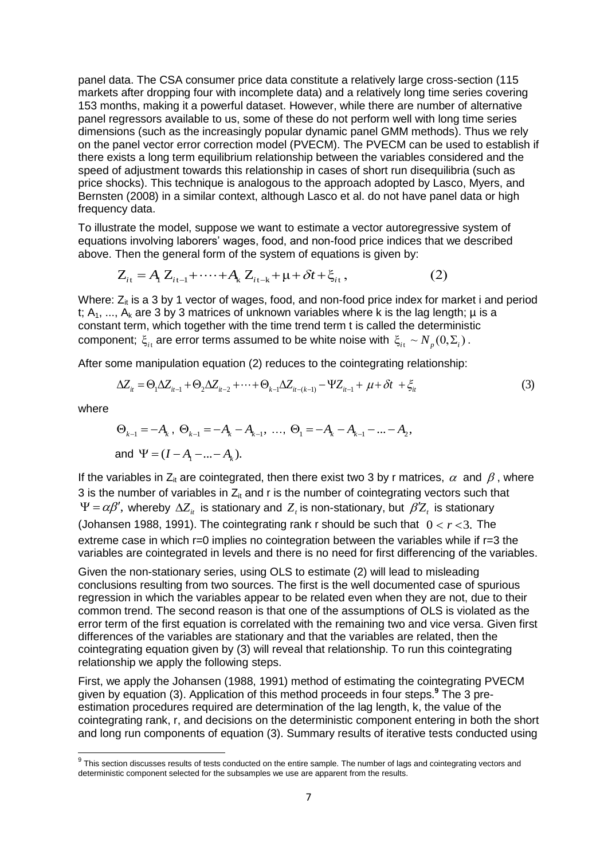panel data. The CSA consumer price data constitute a relatively large cross-section (115 markets after dropping four with incomplete data) and a relatively long time series covering 153 months, making it a powerful dataset. However, while there are number of alternative panel regressors available to us, some of these do not perform well with long time series dimensions (such as the increasingly popular dynamic panel GMM methods). Thus we rely on the panel vector error correction model (PVECM). The PVECM can be used to establish if there exists a long term equilibrium relationship between the variables considered and the speed of adjustment towards this relationship in cases of short run disequilibria (such as price shocks). This technique is analogous to the approach adopted by Lasco, Myers, and Bernsten (2008) in a similar context, although Lasco et al. do not have panel data or high frequency data.

To illustrate the model, suppose we want to estimate a vector autoregressive system of equations involving laborers' wages, food, and non-food price indices that we described above. Then the general form of the system of equations is given by:<br> $Z_{it} = A_1 Z_{it-1} + \cdots + A_k Z_{it-k} + \mu + \delta t + \xi_{it}$ , (2)

above. Then the general form of the system of equations is given by:  
\n
$$
Z_{it} = A_i Z_{it-1} + \dots + A_k Z_{it-k} + \mu + \delta t + \xi_{it},
$$
\n(2)

Where:  $Z_{it}$  is a 3 by 1 vector of wages, food, and non-food price index for market i and period t;  $A_1$ , ...,  $A_k$  are 3 by 3 matrices of unknown variables where k is the lag length;  $\mu$  is a constant term, which together with the time trend term t is called the deterministic component;  $\xi_{it}$  are error terms assumed to be white noise with  $\xi_{it} \sim N_p(0, \Sigma_i)$ .<br>After some manipulation equation (2) reduces to the cointegrating relationship:<br> $\Delta Z_{it} = \Theta_1 \Delta Z_{it-1} + \Theta_2 \Delta Z_{it-2} + \cdots + \Theta_{k-1} \Delta Z_{it-(k-1)}$ 

After some manipulation equation (2) reduces to the cointegrating relationship:

$$
\Delta Z_{it} = \Theta_1 \Delta Z_{it-1} + \Theta_2 \Delta Z_{it-2} + \dots + \Theta_{k-1} \Delta Z_{it-(k-1)} - \Psi Z_{it-1} + \mu + \delta t + \xi_{it}
$$
(3)

where

$$
\Theta_{k-1} = -A_k, \ \Theta_{k-1} = -A_k - A_{k-1}, \ \dots, \ \Theta_1 = -A_k - A_{k-1} - \dots - A_2,
$$
  
and  $\Psi = (I - A_1 - \dots - A_k).$ 

If the variables in Z<sub>it</sub> are cointegrated, then there exist two 3 by r matrices,  $\alpha$  and  $\beta$  , where 3 is the number of variables in  $Z_{it}$  and r is the number of cointegrating vectors such that  $\Psi = \alpha \beta'$ , whereby  $\Delta Z_i$  is stationary and  $Z_i$  is non-stationary, but  $\beta Z_i$  is stationary (Johansen 1988, 1991). The cointegrating rank r should be such that  $0 < r < 3$ . The extreme case in which r=0 implies no cointegration between the variables while if r=3 the variables are cointegrated in levels and there is no need for first differencing of the variables.

Given the non-stationary series, using OLS to estimate (2) will lead to misleading conclusions resulting from two sources. The first is the well documented case of spurious regression in which the variables appear to be related even when they are not, due to their common trend. The second reason is that one of the assumptions of OLS is violated as the error term of the first equation is correlated with the remaining two and vice versa. Given first differences of the variables are stationary and that the variables are related, then the cointegrating equation given by (3) will reveal that relationship. To run this cointegrating relationship we apply the following steps.

First, we apply the Johansen (1988, 1991) method of estimating the cointegrating PVECM given by equation (3). Application of this method proceeds in four steps.**<sup>9</sup>** The 3 preestimation procedures required are determination of the lag length, k, the value of the cointegrating rank, r, and decisions on the deterministic component entering in both the short and long run components of equation (3). Summary results of iterative tests conducted using

 9 This section discusses results of tests conducted on the entire sample. The number of lags and cointegrating vectors and deterministic component selected for the subsamples we use are apparent from the results.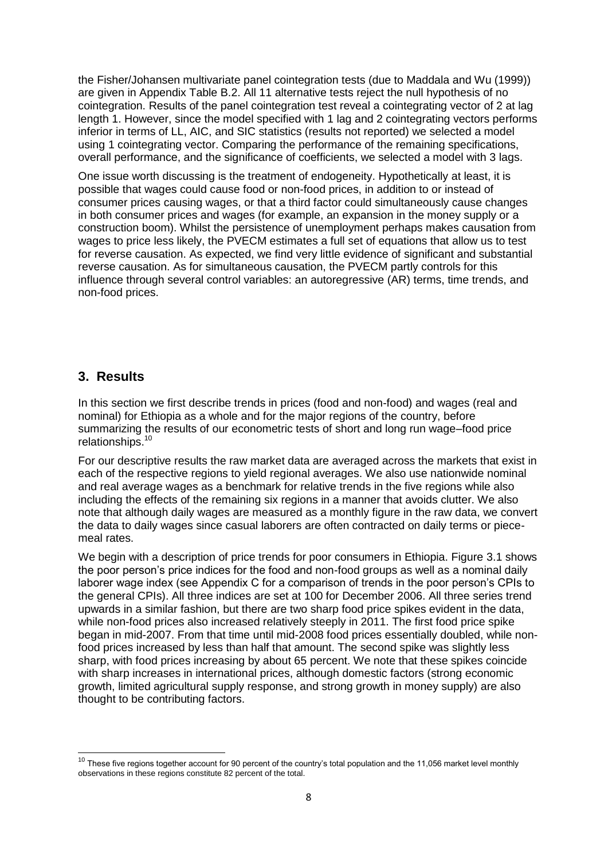the Fisher/Johansen multivariate panel cointegration tests (due to Maddala and Wu (1999)) are given in Appendix Table B.2. All 11 alternative tests reject the null hypothesis of no cointegration. Results of the panel cointegration test reveal a cointegrating vector of 2 at lag length 1. However, since the model specified with 1 lag and 2 cointegrating vectors performs inferior in terms of LL, AIC, and SIC statistics (results not reported) we selected a model using 1 cointegrating vector. Comparing the performance of the remaining specifications, overall performance, and the significance of coefficients, we selected a model with 3 lags.

One issue worth discussing is the treatment of endogeneity. Hypothetically at least, it is possible that wages could cause food or non-food prices, in addition to or instead of consumer prices causing wages, or that a third factor could simultaneously cause changes in both consumer prices and wages (for example, an expansion in the money supply or a construction boom). Whilst the persistence of unemployment perhaps makes causation from wages to price less likely, the PVECM estimates a full set of equations that allow us to test for reverse causation. As expected, we find very little evidence of significant and substantial reverse causation. As for simultaneous causation, the PVECM partly controls for this influence through several control variables: an autoregressive (AR) terms, time trends, and non-food prices.

### <span id="page-13-0"></span>**3. Results**

In this section we first describe trends in prices (food and non-food) and wages (real and nominal) for Ethiopia as a whole and for the major regions of the country, before summarizing the results of our econometric tests of short and long run wage–food price relationships.<sup>10</sup>

For our descriptive results the raw market data are averaged across the markets that exist in each of the respective regions to yield regional averages. We also use nationwide nominal and real average wages as a benchmark for relative trends in the five regions while also including the effects of the remaining six regions in a manner that avoids clutter. We also note that although daily wages are measured as a monthly figure in the raw data, we convert the data to daily wages since casual laborers are often contracted on daily terms or piecemeal rates.

We begin with a description of price trends for poor consumers in Ethiopia. Figure 3.1 shows the poor person's price indices for the food and non-food groups as well as a nominal daily laborer wage index (see Appendix C for a comparison of trends in the poor person's CPIs to the general CPIs). All three indices are set at 100 for December 2006. All three series trend upwards in a similar fashion, but there are two sharp food price spikes evident in the data, while non-food prices also increased relatively steeply in 2011. The first food price spike began in mid-2007. From that time until mid-2008 food prices essentially doubled, while nonfood prices increased by less than half that amount. The second spike was slightly less sharp, with food prices increasing by about 65 percent. We note that these spikes coincide with sharp increases in international prices, although domestic factors (strong economic growth, limited agricultural supply response, and strong growth in money supply) are also thought to be contributing factors.

 $\overline{a}$  $10$  These five regions together account for 90 percent of the country's total population and the 11,056 market level monthly observations in these regions constitute 82 percent of the total.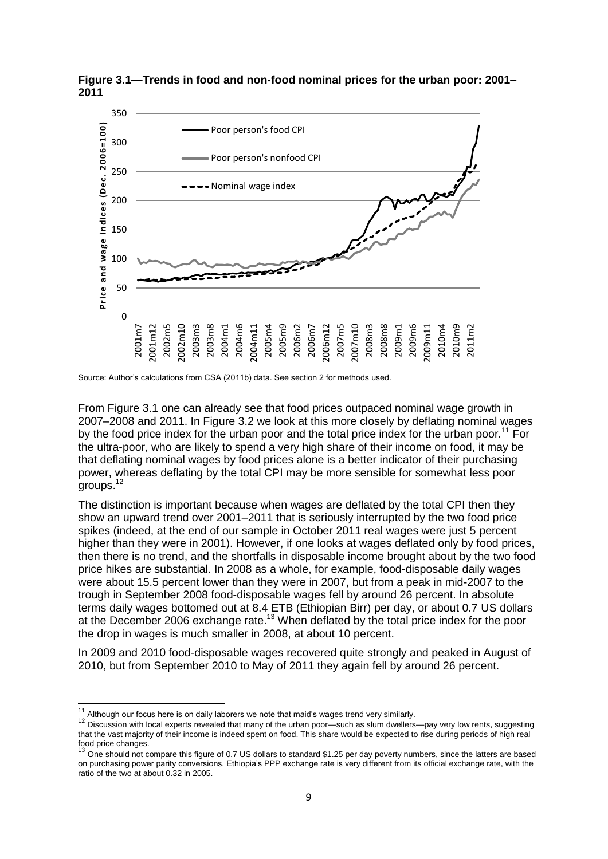

<span id="page-14-0"></span>**Figure 3.1—Trends in food and non-food nominal prices for the urban poor: 2001– 2011**

From Figure 3.1 one can already see that food prices outpaced nominal wage growth in 2007–2008 and 2011. In Figure 3.2 we look at this more closely by deflating nominal wages by the food price index for the urban poor and the total price index for the urban poor.<sup>11</sup> For the ultra-poor, who are likely to spend a very high share of their income on food, it may be that deflating nominal wages by food prices alone is a better indicator of their purchasing power, whereas deflating by the total CPI may be more sensible for somewhat less poor groups.<sup>12</sup>

The distinction is important because when wages are deflated by the total CPI then they show an upward trend over 2001–2011 that is seriously interrupted by the two food price spikes (indeed, at the end of our sample in October 2011 real wages were just 5 percent higher than they were in 2001). However, if one looks at wages deflated only by food prices, then there is no trend, and the shortfalls in disposable income brought about by the two food price hikes are substantial. In 2008 as a whole, for example, food-disposable daily wages were about 15.5 percent lower than they were in 2007, but from a peak in mid-2007 to the trough in September 2008 food-disposable wages fell by around 26 percent. In absolute terms daily wages bottomed out at 8.4 ETB (Ethiopian Birr) per day, or about 0.7 US dollars at the December 2006 exchange rate.<sup>13</sup> When deflated by the total price index for the poor the drop in wages is much smaller in 2008, at about 10 percent.

In 2009 and 2010 food-disposable wages recovered quite strongly and peaked in August of 2010, but from September 2010 to May of 2011 they again fell by around 26 percent.

Source: Author's calculations from CSA (2011b) data. See section 2 for methods used.

 $11$ <sup>11</sup> Although our focus here is on daily laborers we note that maid's wages trend very similarly.<br><sup>12</sup> Discussion with local synarts revealed that mapy of the urban near , such as alum duallers

<sup>12</sup> Discussion with local experts revealed that many of the urban poor—such as slum dwellers—pay very low rents, suggesting that the vast majority of their income is indeed spent on food. This share would be expected to rise during periods of high real food price changes.

<sup>13</sup> One should not compare this figure of 0.7 US dollars to standard \$1.25 per day poverty numbers, since the latters are based on purchasing power parity conversions. Ethiopia's PPP exchange rate is very different from its official exchange rate, with the ratio of the two at about 0.32 in 2005.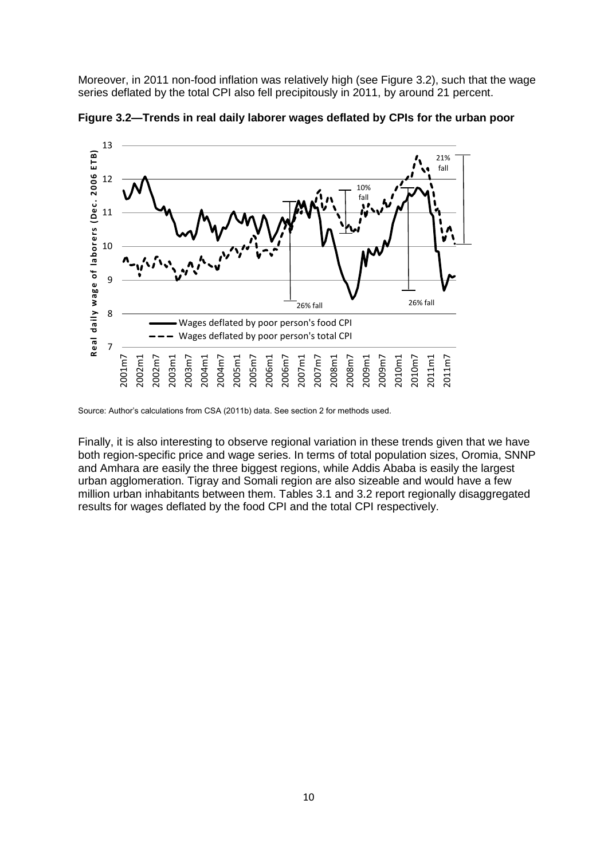Moreover, in 2011 non-food inflation was relatively high (see Figure 3.2), such that the wage series deflated by the total CPI also fell precipitously in 2011, by around 21 percent.



<span id="page-15-0"></span>**Figure 3.2—Trends in real daily laborer wages deflated by CPIs for the urban poor**

Finally, it is also interesting to observe regional variation in these trends given that we have both region-specific price and wage series. In terms of total population sizes, Oromia, SNNP and Amhara are easily the three biggest regions, while Addis Ababa is easily the largest urban agglomeration. Tigray and Somali region are also sizeable and would have a few million urban inhabitants between them. Tables 3.1 and 3.2 report regionally disaggregated results for wages deflated by the food CPI and the total CPI respectively.

Source: Author's calculations from CSA (2011b) data. See section 2 for methods used.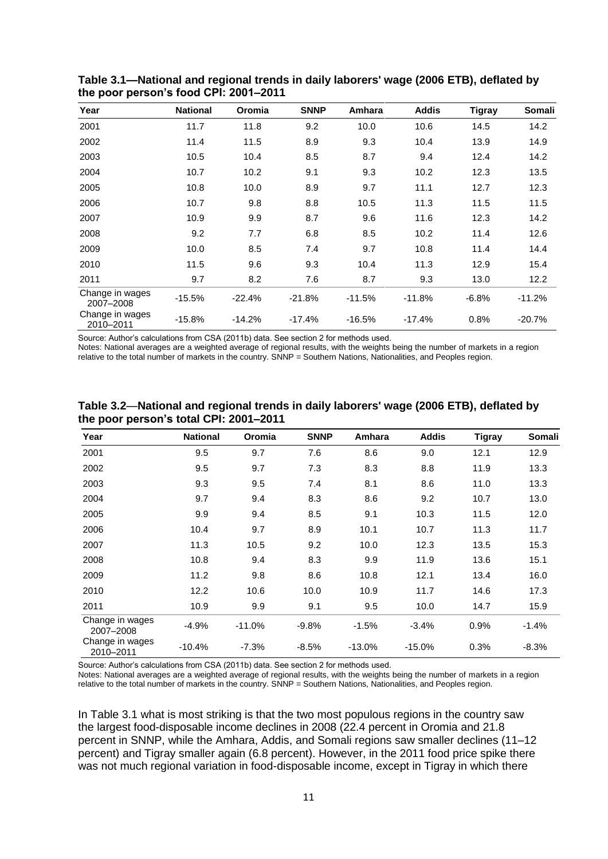| Year                         | <b>National</b> | Oromia   | <b>SNNP</b> | Amhara   | <b>Addis</b> | <b>Tigray</b> | Somali   |
|------------------------------|-----------------|----------|-------------|----------|--------------|---------------|----------|
| 2001                         | 11.7            | 11.8     | 9.2         | 10.0     | 10.6         | 14.5          | 14.2     |
| 2002                         | 11.4            | 11.5     | 8.9         | 9.3      | 10.4         | 13.9          | 14.9     |
| 2003                         | 10.5            | 10.4     | 8.5         | 8.7      | 9.4          | 12.4          | 14.2     |
| 2004                         | 10.7            | 10.2     | 9.1         | 9.3      | 10.2         | 12.3          | 13.5     |
| 2005                         | 10.8            | 10.0     | 8.9         | 9.7      | 11.1         | 12.7          | 12.3     |
| 2006                         | 10.7            | 9.8      | 8.8         | 10.5     | 11.3         | 11.5          | 11.5     |
| 2007                         | 10.9            | 9.9      | 8.7         | 9.6      | 11.6         | 12.3          | 14.2     |
| 2008                         | 9.2             | 7.7      | 6.8         | 8.5      | 10.2         | 11.4          | 12.6     |
| 2009                         | 10.0            | 8.5      | 7.4         | 9.7      | 10.8         | 11.4          | 14.4     |
| 2010                         | 11.5            | 9.6      | 9.3         | 10.4     | 11.3         | 12.9          | 15.4     |
| 2011                         | 9.7             | 8.2      | 7.6         | 8.7      | 9.3          | 13.0          | 12.2     |
| Change in wages<br>2007-2008 | $-15.5%$        | $-22.4%$ | $-21.8%$    | $-11.5%$ | $-11.8%$     | $-6.8%$       | $-11.2%$ |
| Change in wages<br>2010-2011 | $-15.8%$        | $-14.2%$ | $-17.4%$    | $-16.5%$ | $-17.4%$     | 0.8%          | $-20.7%$ |

<span id="page-16-0"></span>**Table 3.1—National and regional trends in daily laborers' wage (2006 ETB), deflated by the poor person's food CPI: 2001–2011**

Source: Author's calculations from CSA (2011b) data. See section 2 for methods used.

Notes: National averages are a weighted average of regional results, with the weights being the number of markets in a region relative to the total number of markets in the country. SNNP = Southern Nations, Nationalities, and Peoples region.

| Year                         | <b>National</b> | Oromia   | <b>SNNP</b> | Amhara   | <b>Addis</b> | <b>Tigray</b> | <b>Somali</b> |
|------------------------------|-----------------|----------|-------------|----------|--------------|---------------|---------------|
| 2001                         | 9.5             | 9.7      | 7.6         | 8.6      | 9.0          | 12.1          | 12.9          |
| 2002                         | 9.5             | 9.7      | 7.3         | 8.3      | 8.8          | 11.9          | 13.3          |
| 2003                         | 9.3             | 9.5      | 7.4         | 8.1      | 8.6          | 11.0          | 13.3          |
| 2004                         | 9.7             | 9.4      | 8.3         | 8.6      | 9.2          | 10.7          | 13.0          |
| 2005                         | 9.9             | 9.4      | 8.5         | 9.1      | 10.3         | 11.5          | 12.0          |
| 2006                         | 10.4            | 9.7      | 8.9         | 10.1     | 10.7         | 11.3          | 11.7          |
| 2007                         | 11.3            | 10.5     | 9.2         | 10.0     | 12.3         | 13.5          | 15.3          |
| 2008                         | 10.8            | 9.4      | 8.3         | 9.9      | 11.9         | 13.6          | 15.1          |
| 2009                         | 11.2            | 9.8      | 8.6         | 10.8     | 12.1         | 13.4          | 16.0          |
| 2010                         | 12.2            | 10.6     | 10.0        | 10.9     | 11.7         | 14.6          | 17.3          |
| 2011                         | 10.9            | 9.9      | 9.1         | 9.5      | 10.0         | 14.7          | 15.9          |
| Change in wages<br>2007-2008 | $-4.9%$         | $-11.0%$ | $-9.8%$     | $-1.5%$  | $-3.4%$      | 0.9%          | $-1.4%$       |
| Change in wages<br>2010-2011 | $-10.4%$        | $-7.3%$  | $-8.5%$     | $-13.0%$ | $-15.0%$     | 0.3%          | $-8.3%$       |

<span id="page-16-1"></span>**Table 3.2**—**National and regional trends in daily laborers' wage (2006 ETB), deflated by the poor person's total CPI: 2001–2011**

Source: Author's calculations from CSA (2011b) data. See section 2 for methods used.

Notes: National averages are a weighted average of regional results, with the weights being the number of markets in a region relative to the total number of markets in the country. SNNP = Southern Nations, Nationalities, and Peoples region.

In Table 3.1 what is most striking is that the two most populous regions in the country saw the largest food-disposable income declines in 2008 (22.4 percent in Oromia and 21.8 percent in SNNP, while the Amhara, Addis, and Somali regions saw smaller declines (11–12 percent) and Tigray smaller again (6.8 percent). However, in the 2011 food price spike there was not much regional variation in food-disposable income, except in Tigray in which there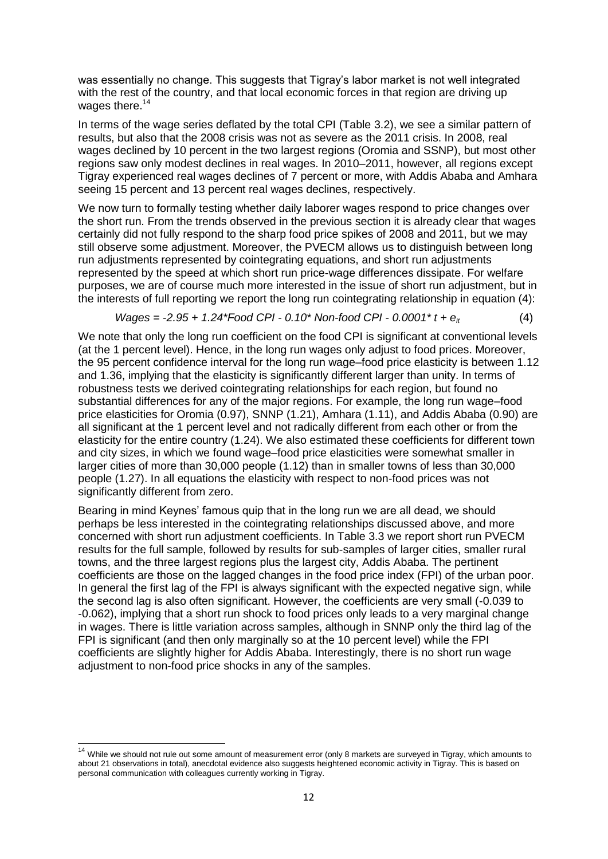was essentially no change. This suggests that Tigray's labor market is not well integrated with the rest of the country, and that local economic forces in that region are driving up wages there.<sup>14</sup>

In terms of the wage series deflated by the total CPI (Table 3.2), we see a similar pattern of results, but also that the 2008 crisis was not as severe as the 2011 crisis. In 2008, real wages declined by 10 percent in the two largest regions (Oromia and SSNP), but most other regions saw only modest declines in real wages. In 2010–2011, however, all regions except Tigray experienced real wages declines of 7 percent or more, with Addis Ababa and Amhara seeing 15 percent and 13 percent real wages declines, respectively.

We now turn to formally testing whether daily laborer wages respond to price changes over the short run. From the trends observed in the previous section it is already clear that wages certainly did not fully respond to the sharp food price spikes of 2008 and 2011, but we may still observe some adjustment. Moreover, the PVECM allows us to distinguish between long run adjustments represented by cointegrating equations, and short run adjustments represented by the speed at which short run price-wage differences dissipate. For welfare purposes, we are of course much more interested in the issue of short run adjustment, but in the interests of full reporting we report the long run cointegrating relationship in equation (4):

Wages = -2.95 + 1.24\*Food *CPI* - 0.10\* Non-food *CPI* - 0.0001\* 
$$
t + e_{it}
$$
 (4)

We note that only the long run coefficient on the food CPI is significant at conventional levels (at the 1 percent level). Hence, in the long run wages only adjust to food prices. Moreover, the 95 percent confidence interval for the long run wage–food price elasticity is between 1.12 and 1.36, implying that the elasticity is significantly different larger than unity. In terms of robustness tests we derived cointegrating relationships for each region, but found no substantial differences for any of the major regions. For example, the long run wage–food price elasticities for Oromia (0.97), SNNP (1.21), Amhara (1.11), and Addis Ababa (0.90) are all significant at the 1 percent level and not radically different from each other or from the elasticity for the entire country (1.24). We also estimated these coefficients for different town and city sizes, in which we found wage–food price elasticities were somewhat smaller in larger cities of more than 30,000 people (1.12) than in smaller towns of less than 30,000 people (1.27). In all equations the elasticity with respect to non-food prices was not significantly different from zero.

Bearing in mind Keynes' famous quip that in the long run we are all dead, we should perhaps be less interested in the cointegrating relationships discussed above, and more concerned with short run adjustment coefficients. In Table 3.3 we report short run PVECM results for the full sample, followed by results for sub-samples of larger cities, smaller rural towns, and the three largest regions plus the largest city, Addis Ababa. The pertinent coefficients are those on the lagged changes in the food price index (FPI) of the urban poor. In general the first lag of the FPI is always significant with the expected negative sign, while the second lag is also often significant. However, the coefficients are very small (-0.039 to -0.062), implying that a short run shock to food prices only leads to a very marginal change in wages. There is little variation across samples, although in SNNP only the third lag of the FPI is significant (and then only marginally so at the 10 percent level) while the FPI coefficients are slightly higher for Addis Ababa. Interestingly, there is no short run wage adjustment to non-food price shocks in any of the samples.

 $\overline{a}$ 

<sup>&</sup>lt;sup>14</sup> While we should not rule out some amount of measurement error (only 8 markets are surveyed in Tigray, which amounts to about 21 observations in total), anecdotal evidence also suggests heightened economic activity in Tigray. This is based on personal communication with colleagues currently working in Tigray.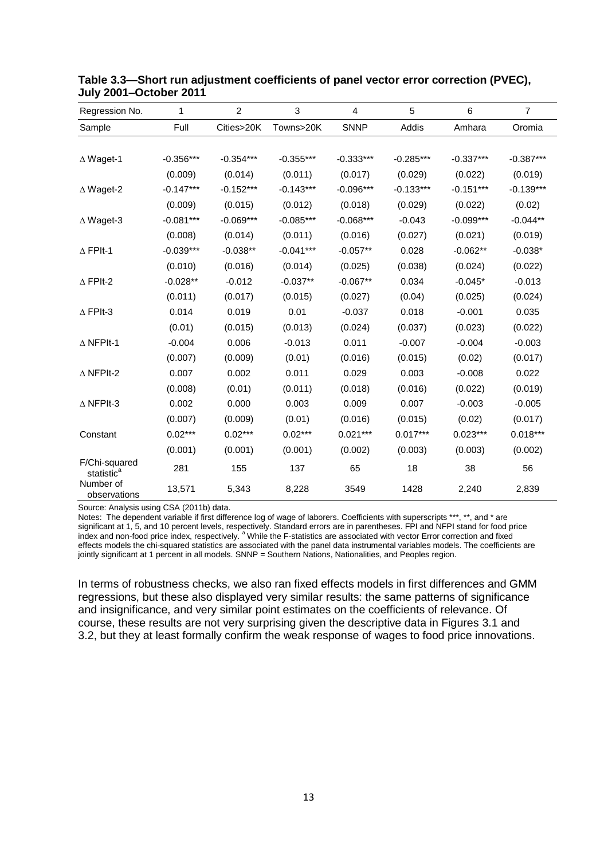| Regression No.                          | 1           | $\overline{2}$ | $\mathbf 3$ | 4           | 5           | 6           | $\overline{7}$ |
|-----------------------------------------|-------------|----------------|-------------|-------------|-------------|-------------|----------------|
| Sample                                  | Full        | Cities>20K     | Towns>20K   | <b>SNNP</b> | Addis       | Amhara      | Oromia         |
|                                         |             |                |             |             |             |             |                |
| $\Delta$ Waget-1                        | $-0.356***$ | $-0.354***$    | $-0.355***$ | $-0.333***$ | $-0.285***$ | $-0.337***$ | $-0.387***$    |
|                                         | (0.009)     | (0.014)        | (0.011)     | (0.017)     | (0.029)     | (0.022)     | (0.019)        |
| $\triangle$ Waget-2                     | $-0.147***$ | $-0.152***$    | $-0.143***$ | $-0.096***$ | $-0.133***$ | $-0.151***$ | $-0.139***$    |
|                                         | (0.009)     | (0.015)        | (0.012)     | (0.018)     | (0.029)     | (0.022)     | (0.02)         |
| $\Delta$ Waget-3                        | $-0.081***$ | $-0.069***$    | $-0.085***$ | $-0.068***$ | $-0.043$    | $-0.099***$ | $-0.044**$     |
|                                         | (0.008)     | (0.014)        | (0.011)     | (0.016)     | (0.027)     | (0.021)     | (0.019)        |
| $\triangle$ FPIt-1                      | $-0.039***$ | $-0.038**$     | $-0.041***$ | $-0.057**$  | 0.028       | $-0.062**$  | $-0.038*$      |
|                                         | (0.010)     | (0.016)        | (0.014)     | (0.025)     | (0.038)     | (0.024)     | (0.022)        |
| $\triangle$ FPIt-2                      | $-0.028**$  | $-0.012$       | $-0.037**$  | $-0.067**$  | 0.034       | $-0.045*$   | $-0.013$       |
|                                         | (0.011)     | (0.017)        | (0.015)     | (0.027)     | (0.04)      | (0.025)     | (0.024)        |
| $\Delta$ FPIt-3                         | 0.014       | 0.019          | 0.01        | $-0.037$    | 0.018       | $-0.001$    | 0.035          |
|                                         | (0.01)      | (0.015)        | (0.013)     | (0.024)     | (0.037)     | (0.023)     | (0.022)        |
| $\triangle$ NFPIt-1                     | $-0.004$    | 0.006          | $-0.013$    | 0.011       | $-0.007$    | $-0.004$    | $-0.003$       |
|                                         | (0.007)     | (0.009)        | (0.01)      | (0.016)     | (0.015)     | (0.02)      | (0.017)        |
| $\triangle$ NFPIt-2                     | 0.007       | 0.002          | 0.011       | 0.029       | 0.003       | $-0.008$    | 0.022          |
|                                         | (0.008)     | (0.01)         | (0.011)     | (0.018)     | (0.016)     | (0.022)     | (0.019)        |
| $\triangle$ NFPIt-3                     | 0.002       | 0.000          | 0.003       | 0.009       | 0.007       | $-0.003$    | $-0.005$       |
|                                         | (0.007)     | (0.009)        | (0.01)      | (0.016)     | (0.015)     | (0.02)      | (0.017)        |
| Constant                                | $0.02***$   | $0.02***$      | $0.02***$   | $0.021***$  | $0.017***$  | $0.023***$  | $0.018***$     |
|                                         | (0.001)     | (0.001)        | (0.001)     | (0.002)     | (0.003)     | (0.003)     | (0.002)        |
| F/Chi-squared<br>statistic <sup>a</sup> | 281         | 155            | 137         | 65          | 18          | 38          | 56             |
| Number of<br>observations               | 13,571      | 5,343          | 8,228       | 3549        | 1428        | 2,240       | 2,839          |

#### <span id="page-18-0"></span>**Table 3.3—Short run adjustment coefficients of panel vector error correction (PVEC), July 2001–October 2011**

Source: Analysis using CSA (2011b) data.

Notes: The dependent variable if first difference log of wage of laborers. Coefficients with superscripts \*\*\*, \*\*, and \* are significant at 1, 5, and 10 percent levels, respectively. Standard errors are in parentheses. FPI and NFPI stand for food price index and non-food price index, respectively.<sup>a</sup> While the F-statistics are associated with vector Error correction and fixed effects models the chi-squared statistics are associated with the panel data instrumental variables models. The coefficients are jointly significant at 1 percent in all models. SNNP = Southern Nations, Nationalities, and Peoples region.

In terms of robustness checks, we also ran fixed effects models in first differences and GMM regressions, but these also displayed very similar results: the same patterns of significance and insignificance, and very similar point estimates on the coefficients of relevance. Of course, these results are not very surprising given the descriptive data in Figures 3.1 and 3.2, but they at least formally confirm the weak response of wages to food price innovations.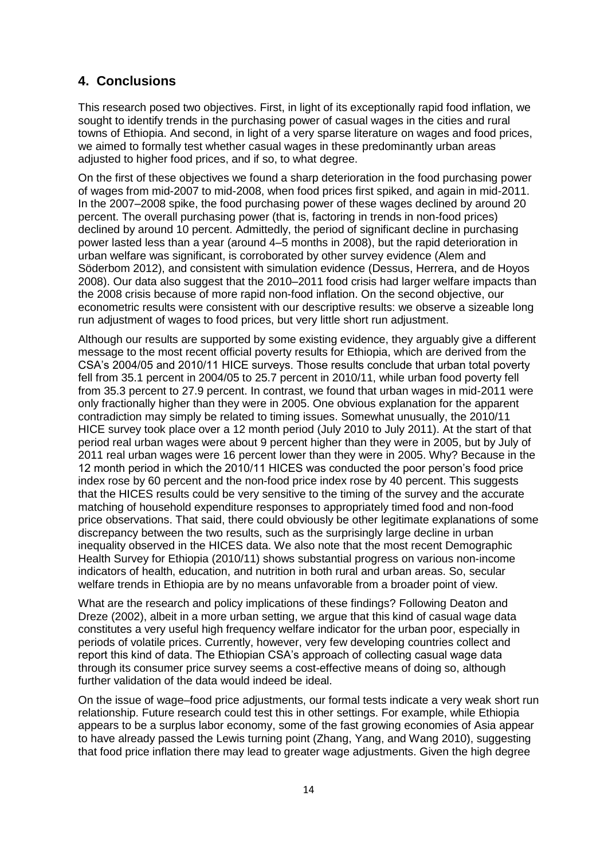### <span id="page-19-0"></span>**4. Conclusions**

This research posed two objectives. First, in light of its exceptionally rapid food inflation, we sought to identify trends in the purchasing power of casual wages in the cities and rural towns of Ethiopia. And second, in light of a very sparse literature on wages and food prices, we aimed to formally test whether casual wages in these predominantly urban areas adjusted to higher food prices, and if so, to what degree.

On the first of these objectives we found a sharp deterioration in the food purchasing power of wages from mid-2007 to mid-2008, when food prices first spiked, and again in mid-2011. In the 2007–2008 spike, the food purchasing power of these wages declined by around 20 percent. The overall purchasing power (that is, factoring in trends in non-food prices) declined by around 10 percent. Admittedly, the period of significant decline in purchasing power lasted less than a year (around 4–5 months in 2008), but the rapid deterioration in urban welfare was significant, is corroborated by other survey evidence (Alem and Söderbom 2012), and consistent with simulation evidence (Dessus, Herrera, and de Hoyos 2008). Our data also suggest that the 2010–2011 food crisis had larger welfare impacts than the 2008 crisis because of more rapid non-food inflation. On the second objective, our econometric results were consistent with our descriptive results: we observe a sizeable long run adjustment of wages to food prices, but very little short run adjustment.

Although our results are supported by some existing evidence, they arguably give a different message to the most recent official poverty results for Ethiopia, which are derived from the CSA's 2004/05 and 2010/11 HICE surveys. Those results conclude that urban total poverty fell from 35.1 percent in 2004/05 to 25.7 percent in 2010/11, while urban food poverty fell from 35.3 percent to 27.9 percent. In contrast, we found that urban wages in mid-2011 were only fractionally higher than they were in 2005. One obvious explanation for the apparent contradiction may simply be related to timing issues. Somewhat unusually, the 2010/11 HICE survey took place over a 12 month period (July 2010 to July 2011). At the start of that period real urban wages were about 9 percent higher than they were in 2005, but by July of 2011 real urban wages were 16 percent lower than they were in 2005. Why? Because in the 12 month period in which the 2010/11 HICES was conducted the poor person's food price index rose by 60 percent and the non-food price index rose by 40 percent. This suggests that the HICES results could be very sensitive to the timing of the survey and the accurate matching of household expenditure responses to appropriately timed food and non-food price observations. That said, there could obviously be other legitimate explanations of some discrepancy between the two results, such as the surprisingly large decline in urban inequality observed in the HICES data. We also note that the most recent Demographic Health Survey for Ethiopia (2010/11) shows substantial progress on various non-income indicators of health, education, and nutrition in both rural and urban areas. So, secular welfare trends in Ethiopia are by no means unfavorable from a broader point of view.

What are the research and policy implications of these findings? Following Deaton and Dreze (2002), albeit in a more urban setting, we argue that this kind of casual wage data constitutes a very useful high frequency welfare indicator for the urban poor, especially in periods of volatile prices. Currently, however, very few developing countries collect and report this kind of data. The Ethiopian CSA's approach of collecting casual wage data through its consumer price survey seems a cost-effective means of doing so, although further validation of the data would indeed be ideal.

On the issue of wage–food price adjustments, our formal tests indicate a very weak short run relationship. Future research could test this in other settings. For example, while Ethiopia appears to be a surplus labor economy, some of the fast growing economies of Asia appear to have already passed the Lewis turning point (Zhang, Yang, and Wang 2010), suggesting that food price inflation there may lead to greater wage adjustments. Given the high degree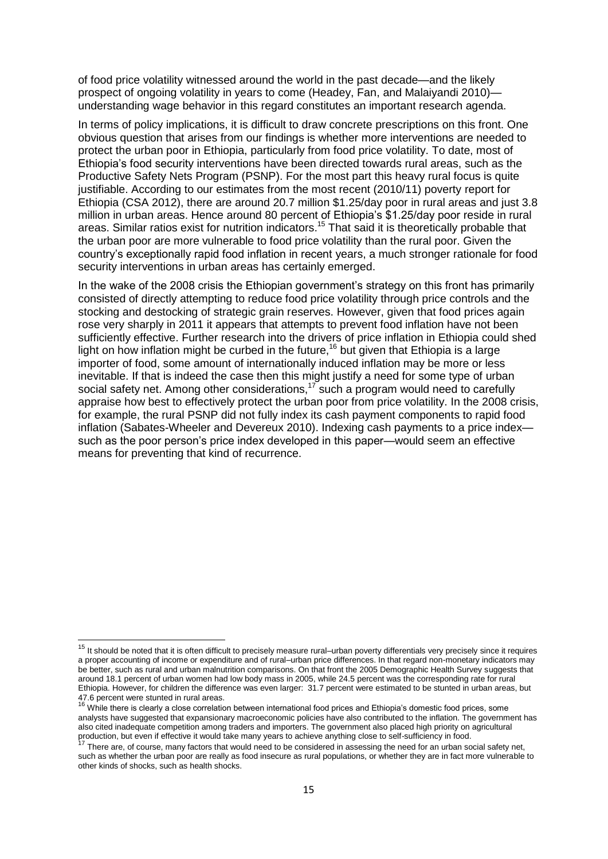of food price volatility witnessed around the world in the past decade—and the likely prospect of ongoing volatility in years to come (Headey, Fan, and Malaiyandi 2010) understanding wage behavior in this regard constitutes an important research agenda.

In terms of policy implications, it is difficult to draw concrete prescriptions on this front. One obvious question that arises from our findings is whether more interventions are needed to protect the urban poor in Ethiopia, particularly from food price volatility. To date, most of Ethiopia's food security interventions have been directed towards rural areas, such as the Productive Safety Nets Program (PSNP). For the most part this heavy rural focus is quite justifiable. According to our estimates from the most recent (2010/11) poverty report for Ethiopia (CSA 2012), there are around 20.7 million \$1.25/day poor in rural areas and just 3.8 million in urban areas. Hence around 80 percent of Ethiopia's \$1.25/day poor reside in rural areas. Similar ratios exist for nutrition indicators. <sup>15</sup> That said it is theoretically probable that the urban poor are more vulnerable to food price volatility than the rural poor. Given the country's exceptionally rapid food inflation in recent years, a much stronger rationale for food security interventions in urban areas has certainly emerged.

In the wake of the 2008 crisis the Ethiopian government's strategy on this front has primarily consisted of directly attempting to reduce food price volatility through price controls and the stocking and destocking of strategic grain reserves. However, given that food prices again rose very sharply in 2011 it appears that attempts to prevent food inflation have not been sufficiently effective. Further research into the drivers of price inflation in Ethiopia could shed light on how inflation might be curbed in the future,<sup>16</sup> but given that Ethiopia is a large importer of food, some amount of internationally induced inflation may be more or less inevitable. If that is indeed the case then this might justify a need for some type of urban social safety net. Among other considerations,<sup>17</sup> such a program would need to carefully appraise how best to effectively protect the urban poor from price volatility. In the 2008 crisis, for example, the rural PSNP did not fully index its cash payment components to rapid food inflation (Sabates-Wheeler and Devereux 2010). Indexing cash payments to a price index such as the poor person's price index developed in this paper—would seem an effective means for preventing that kind of recurrence.

<sup>&</sup>lt;sup>15</sup> It should be noted that it is often difficult to precisely measure rural–urban poverty differentials very precisely since it requires a proper accounting of income or expenditure and of rural–urban price differences. In that regard non-monetary indicators may be better, such as rural and urban malnutrition comparisons. On that front the 2005 Demographic Health Survey suggests that around 18.1 percent of urban women had low body mass in 2005, while 24.5 percent was the corresponding rate for rural Ethiopia. However, for children the difference was even larger: 31.7 percent were estimated to be stunted in urban areas, but

<sup>47.6</sup> percent were stunted in rural areas.<br><sup>16</sup> While there is clearly a close correlation between international food prices and Ethiopia's domestic food prices, some analysts have suggested that expansionary macroeconomic policies have also contributed to the inflation. The government has also cited inadequate competition among traders and importers. The government also placed high priority on agricultural production, but even if effective it would take many years to achieve anything close to self-sufficiency in food.

There are, of course, many factors that would need to be considered in assessing the need for an urban social safety net, such as whether the urban poor are really as food insecure as rural populations, or whether they are in fact more vulnerable to other kinds of shocks, such as health shocks.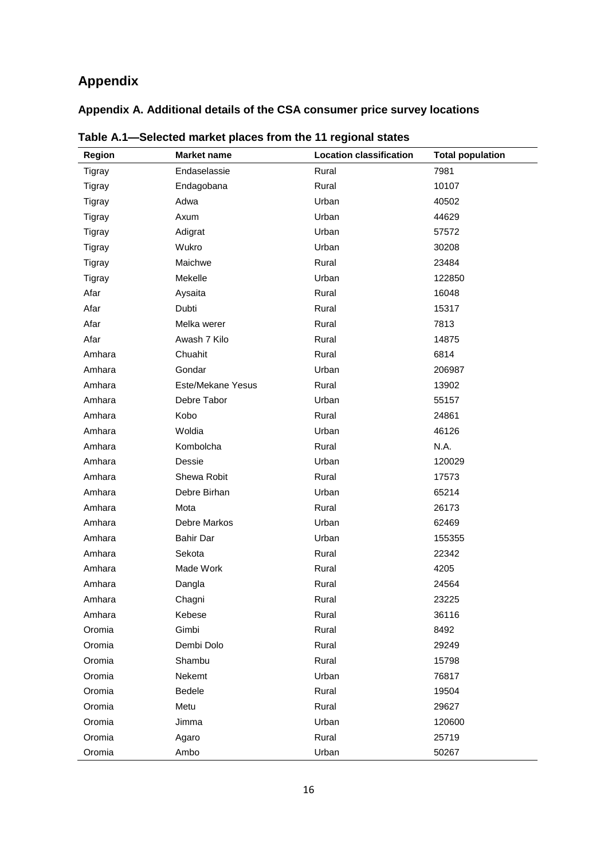# <span id="page-21-0"></span>**Appendix**

## <span id="page-21-1"></span>**Appendix A. Additional details of the CSA consumer price survey locations**

| Region        | <b>Market name</b> | <b>Location classification</b> | <b>Total population</b> |
|---------------|--------------------|--------------------------------|-------------------------|
| <b>Tigray</b> | Endaselassie       | Rural                          | 7981                    |
| Tigray        | Endagobana         | Rural                          | 10107                   |
| Tigray        | Adwa               | Urban                          | 40502                   |
| Tigray        | Axum               | Urban                          | 44629                   |
| Tigray        | Adigrat            | Urban                          | 57572                   |
| Tigray        | Wukro              | Urban                          | 30208                   |
| <b>Tigray</b> | Maichwe            | Rural                          | 23484                   |
| <b>Tigray</b> | Mekelle            | Urban                          | 122850                  |
| Afar          | Aysaita            | Rural                          | 16048                   |
| Afar          | Dubti              | Rural                          | 15317                   |
| Afar          | Melka werer        | Rural                          | 7813                    |
| Afar          | Awash 7 Kilo       | Rural                          | 14875                   |
| Amhara        | Chuahit            | Rural                          | 6814                    |
| Amhara        | Gondar             | Urban                          | 206987                  |
| Amhara        | Este/Mekane Yesus  | Rural                          | 13902                   |
| Amhara        | Debre Tabor        | Urban                          | 55157                   |
| Amhara        | Kobo               | Rural                          | 24861                   |
| Amhara        | Woldia             | Urban                          | 46126                   |
| Amhara        | Kombolcha          | Rural                          | N.A.                    |
| Amhara        | Dessie             | Urban                          | 120029                  |
| Amhara        | Shewa Robit        | Rural                          | 17573                   |
| Amhara        | Debre Birhan       | Urban                          | 65214                   |
| Amhara        | Mota               | Rural                          | 26173                   |
| Amhara        | Debre Markos       | Urban                          | 62469                   |
| Amhara        | <b>Bahir Dar</b>   | Urban                          | 155355                  |
| Amhara        | Sekota             | Rural                          | 22342                   |
| Amhara        | Made Work          | Rural                          | 4205                    |
| Amhara        | Dangla             | Rural                          | 24564                   |
| Amhara        | Chagni             | Rural                          | 23225                   |
| Amhara        | Kebese             | Rural                          | 36116                   |
| Oromia        | Gimbi              | Rural                          | 8492                    |
| Oromia        | Dembi Dolo         | Rural                          | 29249                   |
| Oromia        | Shambu             | Rural                          | 15798                   |
| Oromia        | Nekemt             | Urban                          | 76817                   |
| Oromia        | Bedele             | Rural                          | 19504                   |
| Oromia        | Metu               | Rural                          | 29627                   |
| Oromia        | Jimma              | Urban                          | 120600                  |
| Oromia        | Agaro              | Rural                          | 25719                   |
| Oromia        | Ambo               | Urban                          | 50267                   |

<span id="page-21-2"></span>**Table A.1—Selected market places from the 11 regional states**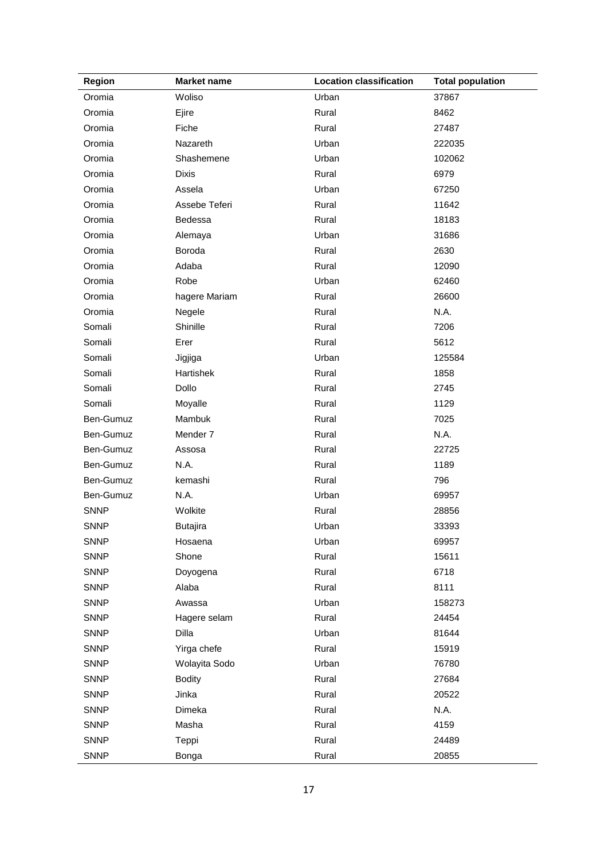| <b>Region</b> | <b>Market name</b> | <b>Location classification</b> | <b>Total population</b> |
|---------------|--------------------|--------------------------------|-------------------------|
| Oromia        | Woliso             | Urban                          | 37867                   |
| Oromia        | Ejire              | Rural                          | 8462                    |
| Oromia        | Fiche              | Rural                          | 27487                   |
| Oromia        | Nazareth           | Urban                          | 222035                  |
| Oromia        | Shashemene         | Urban                          | 102062                  |
| Oromia        | <b>Dixis</b>       | Rural                          | 6979                    |
| Oromia        | Assela             | Urban                          | 67250                   |
| Oromia        | Assebe Teferi      | Rural                          | 11642                   |
| Oromia        | Bedessa            | Rural                          | 18183                   |
| Oromia        | Alemaya            | Urban                          | 31686                   |
| Oromia        | Boroda             | Rural                          | 2630                    |
| Oromia        | Adaba              | Rural                          | 12090                   |
| Oromia        | Robe               | Urban                          | 62460                   |
| Oromia        | hagere Mariam      | Rural                          | 26600                   |
| Oromia        | Negele             | Rural                          | N.A.                    |
| Somali        | Shinille           | Rural                          | 7206                    |
| Somali        | Erer               | Rural                          | 5612                    |
| Somali        | Jigjiga            | Urban                          | 125584                  |
| Somali        | Hartishek          | Rural                          | 1858                    |
| Somali        | Dollo              | Rural                          | 2745                    |
| Somali        | Moyalle            | Rural                          | 1129                    |
| Ben-Gumuz     | Mambuk             | Rural                          | 7025                    |
| Ben-Gumuz     | Mender 7           | Rural                          | N.A.                    |
| Ben-Gumuz     | Assosa             | Rural                          | 22725                   |
| Ben-Gumuz     | N.A.               | Rural                          | 1189                    |
| Ben-Gumuz     | kemashi            | Rural                          | 796                     |
| Ben-Gumuz     | N.A.               | Urban                          | 69957                   |
| <b>SNNP</b>   | Wolkite            | Rural                          | 28856                   |
| <b>SNNP</b>   | <b>Butajira</b>    | Urban                          | 33393                   |
| <b>SNNP</b>   | Hosaena            | Urban                          | 69957                   |
| <b>SNNP</b>   | Shone              | Rural                          | 15611                   |
| <b>SNNP</b>   | Doyogena           | Rural                          | 6718                    |
| <b>SNNP</b>   | Alaba              | Rural                          | 8111                    |
| <b>SNNP</b>   | Awassa             | Urban                          | 158273                  |
| <b>SNNP</b>   | Hagere selam       | Rural                          | 24454                   |
| <b>SNNP</b>   | Dilla              | Urban                          | 81644                   |
| <b>SNNP</b>   | Yirga chefe        | Rural                          | 15919                   |
| <b>SNNP</b>   | Wolayita Sodo      | Urban                          | 76780                   |
| <b>SNNP</b>   | <b>Bodity</b>      | Rural                          | 27684                   |
| <b>SNNP</b>   | Jinka              | Rural                          | 20522                   |
| <b>SNNP</b>   | Dimeka             | Rural                          | N.A.                    |
| <b>SNNP</b>   | Masha              | Rural                          | 4159                    |
| <b>SNNP</b>   | Teppi              | Rural                          | 24489                   |
| <b>SNNP</b>   | Bonga              | Rural                          | 20855                   |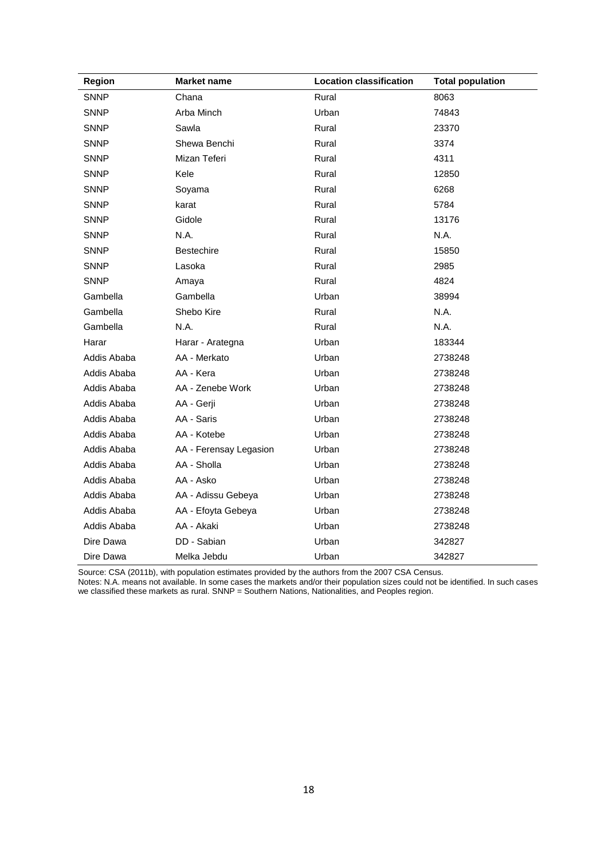| Region      | <b>Market name</b>     | <b>Location classification</b> | <b>Total population</b> |
|-------------|------------------------|--------------------------------|-------------------------|
| <b>SNNP</b> | Chana                  | Rural                          | 8063                    |
| <b>SNNP</b> | Arba Minch             | Urban                          | 74843                   |
| <b>SNNP</b> | Sawla                  | Rural                          | 23370                   |
| <b>SNNP</b> | Shewa Benchi           | Rural                          | 3374                    |
| <b>SNNP</b> | Mizan Teferi           | Rural                          | 4311                    |
| <b>SNNP</b> | Kele                   | Rural                          | 12850                   |
| <b>SNNP</b> | Soyama                 | Rural                          | 6268                    |
| <b>SNNP</b> | karat                  | Rural                          | 5784                    |
| <b>SNNP</b> | Gidole                 | Rural                          | 13176                   |
| <b>SNNP</b> | N.A.                   | Rural                          | N.A.                    |
| <b>SNNP</b> | Bestechire             | Rural                          | 15850                   |
| <b>SNNP</b> | Lasoka                 | Rural                          | 2985                    |
| <b>SNNP</b> | Amaya                  | Rural                          | 4824                    |
| Gambella    | Gambella               | Urban                          | 38994                   |
| Gambella    | Shebo Kire             | Rural                          | N.A.                    |
| Gambella    | N.A.                   | Rural                          | N.A.                    |
| Harar       | Harar - Arategna       | Urban                          | 183344                  |
| Addis Ababa | AA - Merkato           | Urban                          | 2738248                 |
| Addis Ababa | AA - Kera              | Urban                          | 2738248                 |
| Addis Ababa | AA - Zenebe Work       | Urban                          | 2738248                 |
| Addis Ababa | AA - Gerji             | Urban                          | 2738248                 |
| Addis Ababa | AA - Saris             | Urban                          | 2738248                 |
| Addis Ababa | AA - Kotebe            | Urban                          | 2738248                 |
| Addis Ababa | AA - Ferensay Legasion | Urban                          | 2738248                 |
| Addis Ababa | AA - Sholla            | Urban                          | 2738248                 |
| Addis Ababa | AA - Asko              | Urban                          | 2738248                 |
| Addis Ababa | AA - Adissu Gebeya     | Urban                          | 2738248                 |
| Addis Ababa | AA - Efoyta Gebeya     | Urban                          | 2738248                 |
| Addis Ababa | AA - Akaki             | Urban                          | 2738248                 |
| Dire Dawa   | DD - Sabian            | Urban                          | 342827                  |
| Dire Dawa   | Melka Jebdu            | Urban                          | 342827                  |

Source: CSA (2011b), with population estimates provided by the authors from the 2007 CSA Census.

Notes: N.A. means not available. In some cases the markets and/or their population sizes could not be identified. In such cases we classified these markets as rural. SNNP = Southern Nations, Nationalities, and Peoples region.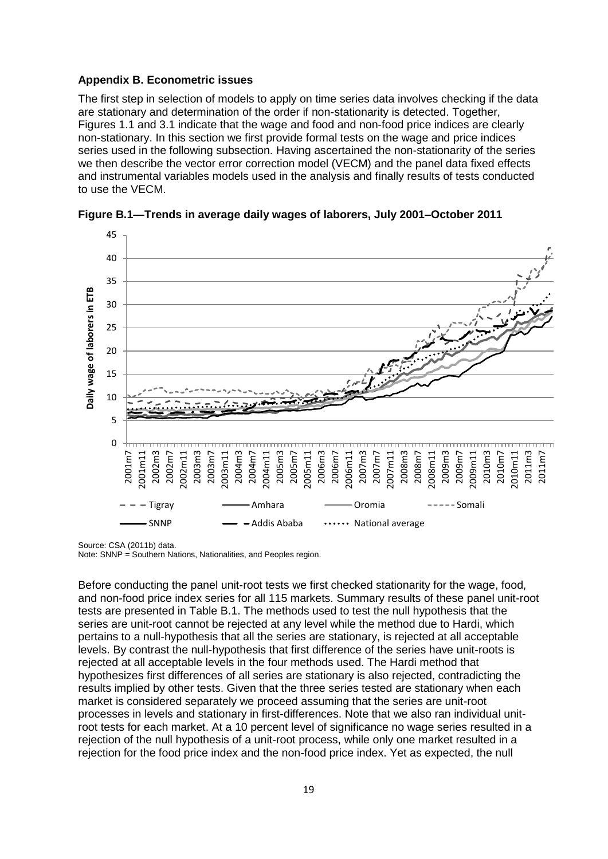#### <span id="page-24-0"></span>**Appendix B. Econometric issues**

The first step in selection of models to apply on time series data involves checking if the data are stationary and determination of the order if non-stationarity is detected. Together, Figures 1.1 and 3.1 indicate that the wage and food and non-food price indices are clearly non-stationary. In this section we first provide formal tests on the wage and price indices series used in the following subsection. Having ascertained the non-stationarity of the series we then describe the vector error correction model (VECM) and the panel data fixed effects and instrumental variables models used in the analysis and finally results of tests conducted to use the VECM.



<span id="page-24-1"></span>

Source: CSA (2011b) data.

Note: SNNP = Southern Nations, Nationalities, and Peoples region.

Before conducting the panel unit-root tests we first checked stationarity for the wage, food, and non-food price index series for all 115 markets. Summary results of these panel unit-root tests are presented in Table B.1. The methods used to test the null hypothesis that the series are unit-root cannot be rejected at any level while the method due to Hardi, which pertains to a null-hypothesis that all the series are stationary, is rejected at all acceptable levels. By contrast the null-hypothesis that first difference of the series have unit-roots is rejected at all acceptable levels in the four methods used. The Hardi method that hypothesizes first differences of all series are stationary is also rejected, contradicting the results implied by other tests. Given that the three series tested are stationary when each market is considered separately we proceed assuming that the series are unit-root processes in levels and stationary in first-differences. Note that we also ran individual unitroot tests for each market. At a 10 percent level of significance no wage series resulted in a rejection of the null hypothesis of a unit-root process, while only one market resulted in a rejection for the food price index and the non-food price index. Yet as expected, the null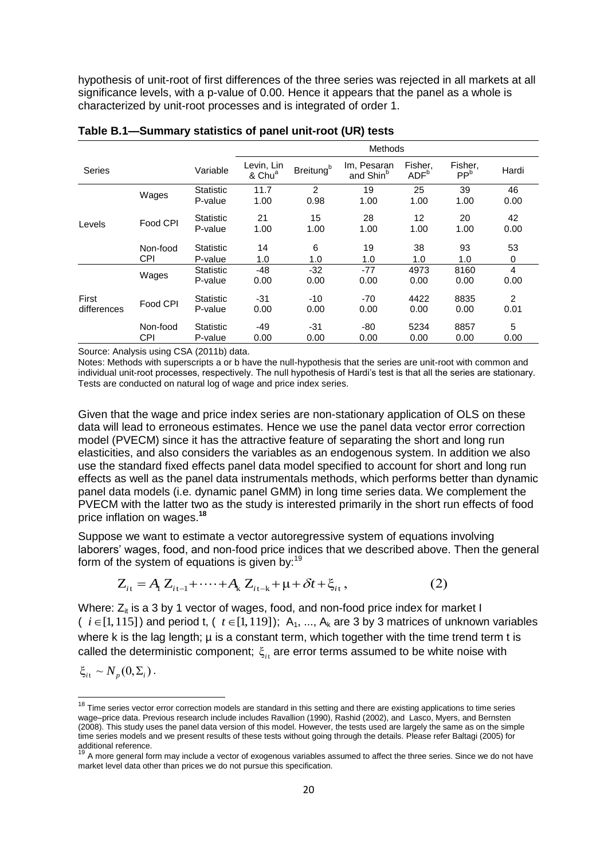hypothesis of unit-root of first differences of the three series was rejected in all markets at all significance levels, with a p-value of 0.00. Hence it appears that the panel as a whole is characterized by unit-root processes and is integrated of order 1.

|                      |                        |                             | <b>Methods</b>                   |                              |                                      |                             |                            |                        |
|----------------------|------------------------|-----------------------------|----------------------------------|------------------------------|--------------------------------------|-----------------------------|----------------------------|------------------------|
| Series               |                        | Variable                    | Levin, Lin<br>& Chu <sup>a</sup> | <b>Breitung</b> <sup>b</sup> | Im, Pesaran<br>and Shin <sup>b</sup> | Fisher.<br>ADF <sup>b</sup> | Fisher,<br>PP <sup>b</sup> | Hardi                  |
|                      | Wages                  | <b>Statistic</b><br>P-value | 11.7<br>1.00                     | 2<br>0.98                    | 19<br>1.00                           | 25<br>1.00                  | 39<br>1.00                 | 46<br>0.00             |
| Levels               | Food CPI               | Statistic<br>P-value        | 21<br>1.00                       | 15<br>1.00                   | 28<br>1.00                           | $12 \overline{ }$<br>1.00   | 20<br>1.00                 | 42<br>0.00             |
|                      | Non-food<br><b>CPI</b> | Statistic<br>P-value        | 14<br>1.0                        | 6<br>1.0                     | 19<br>1.0                            | 38<br>1.0                   | 93<br>1.0                  | 53<br>0                |
|                      | Wages                  | Statistic<br>P-value        | $-48$<br>0.00                    | $-32$<br>0.00                | $-77$<br>0.00                        | 4973<br>0.00                | 8160<br>0.00               | $\overline{4}$<br>0.00 |
| First<br>differences | Food CPI               | Statistic<br>P-value        | $-31$<br>0.00                    | $-10$<br>0.00                | $-70$<br>0.00                        | 4422<br>0.00                | 8835<br>0.00               | 2<br>0.01              |
|                      | Non-food<br><b>CPI</b> | Statistic<br>P-value        | -49<br>0.00                      | -31<br>0.00                  | -80<br>0.00                          | 5234<br>0.00                | 8857<br>0.00               | 5<br>0.00              |

<span id="page-25-0"></span>**Table B.1—Summary statistics of panel unit-root (UR) tests**

Source: Analysis using CSA (2011b) data.

Notes: Methods with superscripts a or b have the null-hypothesis that the series are unit-root with common and individual unit-root processes, respectively. The null hypothesis of Hardi's test is that all the series are stationary. Tests are conducted on natural log of wage and price index series.

Given that the wage and price index series are non-stationary application of OLS on these data will lead to erroneous estimates. Hence we use the panel data vector error correction model (PVECM) since it has the attractive feature of separating the short and long run elasticities, and also considers the variables as an endogenous system. In addition we also use the standard fixed effects panel data model specified to account for short and long run effects as well as the panel data instrumentals methods, which performs better than dynamic panel data models (i.e. dynamic panel GMM) in long time series data. We complement the PVECM with the latter two as the study is interested primarily in the short run effects of food price inflation on wages.**<sup>18</sup>**

Suppose we want to estimate a vector autoregressive system of equations involving laborers' wages, food, and non-food price indices that we described above. Then the general form of the system of equations is given by:<sup>19</sup><br> $Z_{it} = A_i Z_{it-1} + \cdots + A_k Z_{it-k} + \mu + \delta t + \xi_{it}$ , (2) form of the system of equations is given by:<sup>19</sup><br> $Z_{i\text{t}} = A_{\text{l}}\,Z_{i\text{t-l}} + \cdots + A_{\text{k}}\,Z_{i\text{t-k}} + \mu + \cdots$ 

$$
Z_{it} = A_1 Z_{it-1} + \dots + A_k Z_{it-k} + \mu + \delta t + \xi_{it}, \qquad (2)
$$

Where:  $Z_{it}$  is a 3 by 1 vector of wages, food, and non-food price index for market I  $(i \in [1, 115])$  and period t,  $(i \in [1, 119])$ ; A<sub>1</sub>, ..., A<sub>k</sub> are 3 by 3 matrices of unknown variables where k is the lag length;  $\mu$  is a constant term, which together with the time trend term t is called the deterministic component;  $\xi$ <sub>it</sub> are error terms assumed to be white noise with

 $\xi_{it} \sim N_p(0, \Sigma_i)$ .

 $\overline{a}$ 

<sup>&</sup>lt;sup>18</sup> Time series vector error correction models are standard in this setting and there are existing applications to time series wage–price data. Previous research include includes Ravallion (1990), Rashid (2002), and Lasco, Myers, and Bernsten (2008). This study uses the panel data version of this model. However, the tests used are largely the same as on the simple time series models and we present results of these tests without going through the details. Please refer Baltagi (2005) for additional reference.

<sup>19</sup> A more general form may include a vector of exogenous variables assumed to affect the three series. Since we do not have market level data other than prices we do not pursue this specification.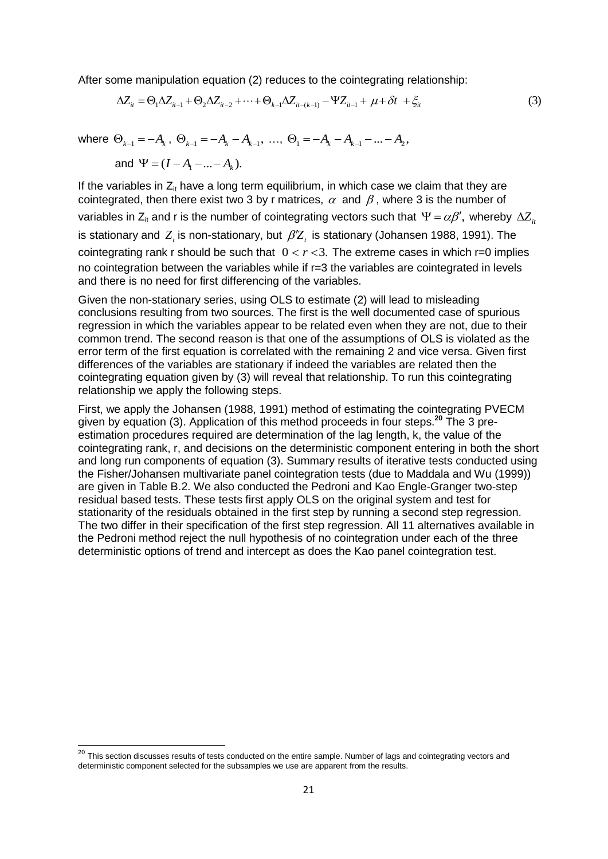After some manipulation equation (2) reduces to the cointegrating relationship:

ome manipulation equation (2) reduces to the cointegrating relationship:  
\n
$$
\Delta Z_{it} = \Theta_1 \Delta Z_{it-1} + \Theta_2 \Delta Z_{it-2} + \dots + \Theta_{k-1} \Delta Z_{it-(k-1)} - \Psi Z_{it-1} + \mu + \delta t + \xi_{it}
$$
\n(3)

where  $\Theta_{k-1} = -A_k$ ,  $\Theta_{k-1} = -A_k - A_{k-1}$ , ...,  $\Theta_1 = -A_k - A_{k-1} - ... - A_2$ ,

and  $\Psi = (I - A_1 - ... - A_k)$ .

If the variables in  $Z_{it}$  have a long term equilibrium, in which case we claim that they are cointegrated, then there exist two 3 by r matrices,  $\alpha \,$  and  $\beta$  , where 3 is the number of variables in Z<sub>it</sub> and r is the number of cointegrating vectors such that  $\,\Psi$  =  $\alpha\beta',\,$  whereby  $\,\Delta\!Z_{_{it}}$ is stationary and  $Z_{\iota}$  is non-stationary, but  $\,\beta Z_{\iota}\,$  is stationary (Johansen 1988, 1991). The cointegrating rank r should be such that  $0 < r < 3$ . The extreme cases in which r=0 implies no cointegration between the variables while if  $r=3$  the variables are cointegrated in levels and there is no need for first differencing of the variables.

Given the non-stationary series, using OLS to estimate (2) will lead to misleading conclusions resulting from two sources. The first is the well documented case of spurious regression in which the variables appear to be related even when they are not, due to their common trend. The second reason is that one of the assumptions of OLS is violated as the error term of the first equation is correlated with the remaining 2 and vice versa. Given first differences of the variables are stationary if indeed the variables are related then the cointegrating equation given by (3) will reveal that relationship. To run this cointegrating relationship we apply the following steps.

First, we apply the Johansen (1988, 1991) method of estimating the cointegrating PVECM given by equation (3). Application of this method proceeds in four steps.**<sup>20</sup>** The 3 preestimation procedures required are determination of the lag length, k, the value of the cointegrating rank, r, and decisions on the deterministic component entering in both the short and long run components of equation (3). Summary results of iterative tests conducted using the Fisher/Johansen multivariate panel cointegration tests (due to Maddala and Wu (1999)) are given in Table B.2. We also conducted the Pedroni and Kao Engle-Granger two-step residual based tests. These tests first apply OLS on the original system and test for stationarity of the residuals obtained in the first step by running a second step regression. The two differ in their specification of the first step regression. All 11 alternatives available in the Pedroni method reject the null hypothesis of no cointegration under each of the three deterministic options of trend and intercept as does the Kao panel cointegration test.

 $^{20}$  This section discusses results of tests conducted on the entire sample. Number of lags and cointegrating vectors and deterministic component selected for the subsamples we use are apparent from the results.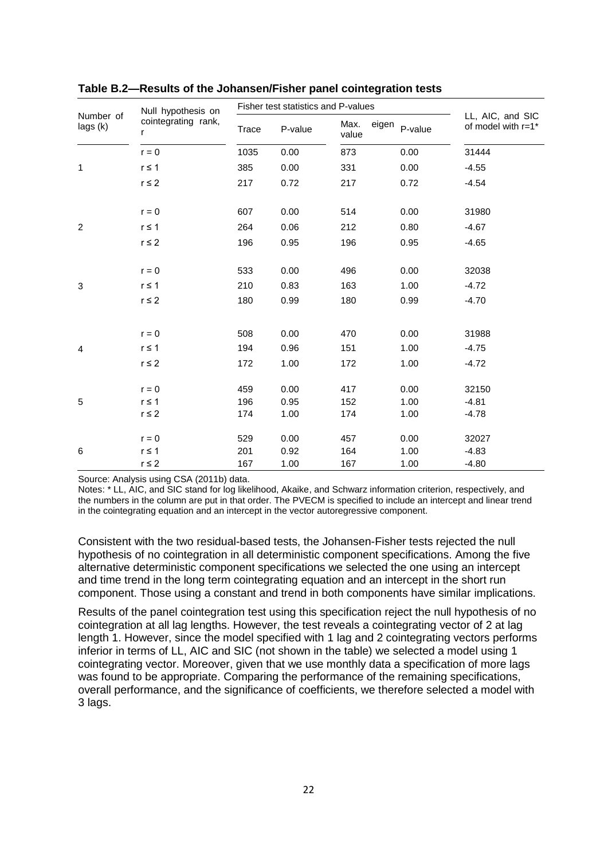|                       | Null hypothesis on       |       | Fisher test statistics and P-values |                        |         |                                        |
|-----------------------|--------------------------|-------|-------------------------------------|------------------------|---------|----------------------------------------|
| Number of<br>lags (k) | cointegrating rank,<br>r | Trace | P-value                             | Max.<br>eigen<br>value | P-value | LL, AIC, and SIC<br>of model with r=1* |
|                       | $r = 0$                  | 1035  | 0.00                                | 873                    | 0.00    | 31444                                  |
| 1                     | $r \leq 1$               | 385   | 0.00                                | 331                    | 0.00    | $-4.55$                                |
|                       | $r \leq 2$               | 217   | 0.72                                | 217                    | 0.72    | $-4.54$                                |
|                       | $r = 0$                  | 607   | 0.00                                | 514                    | 0.00    | 31980                                  |
| $\overline{c}$        | $r \leq 1$               | 264   | 0.06                                | 212                    | 0.80    | $-4.67$                                |
|                       | $r \leq 2$               | 196   | 0.95                                | 196                    | 0.95    | $-4.65$                                |
|                       | $r = 0$                  | 533   | 0.00                                | 496                    | 0.00    | 32038                                  |
| 3                     | $r \leq 1$               | 210   | 0.83                                | 163                    | 1.00    | $-4.72$                                |
|                       | $r \leq 2$               | 180   | 0.99                                | 180                    | 0.99    | $-4.70$                                |
|                       | $r = 0$                  | 508   | 0.00                                | 470                    | 0.00    | 31988                                  |
| 4                     | $r \leq 1$               | 194   | 0.96                                | 151                    | 1.00    | $-4.75$                                |
|                       | $r \leq 2$               | 172   | 1.00                                | 172                    | 1.00    | $-4.72$                                |
|                       | $r = 0$                  | 459   | 0.00                                | 417                    | 0.00    | 32150                                  |
| 5                     | $r \leq 1$               | 196   | 0.95                                | 152                    | 1.00    | $-4.81$                                |
|                       | $r \leq 2$               | 174   | 1.00                                | 174                    | 1.00    | $-4.78$                                |
|                       | $r = 0$                  | 529   | 0.00                                | 457                    | 0.00    | 32027                                  |
| 6                     | $r \leq 1$               | 201   | 0.92                                | 164                    | 1.00    | $-4.83$                                |
|                       | $r \leq 2$               | 167   | 1.00                                | 167                    | 1.00    | $-4.80$                                |

<span id="page-27-0"></span>**Table B.2—Results of the Johansen/Fisher panel cointegration tests**

Source: Analysis using CSA (2011b) data.

Notes: \* LL, AIC, and SIC stand for log likelihood, Akaike, and Schwarz information criterion, respectively, and the numbers in the column are put in that order. The PVECM is specified to include an intercept and linear trend in the cointegrating equation and an intercept in the vector autoregressive component.

Consistent with the two residual-based tests, the Johansen-Fisher tests rejected the null hypothesis of no cointegration in all deterministic component specifications. Among the five alternative deterministic component specifications we selected the one using an intercept and time trend in the long term cointegrating equation and an intercept in the short run component. Those using a constant and trend in both components have similar implications.

Results of the panel cointegration test using this specification reject the null hypothesis of no cointegration at all lag lengths. However, the test reveals a cointegrating vector of 2 at lag length 1. However, since the model specified with 1 lag and 2 cointegrating vectors performs inferior in terms of LL, AIC and SIC (not shown in the table) we selected a model using 1 cointegrating vector. Moreover, given that we use monthly data a specification of more lags was found to be appropriate. Comparing the performance of the remaining specifications, overall performance, and the significance of coefficients, we therefore selected a model with 3 lags.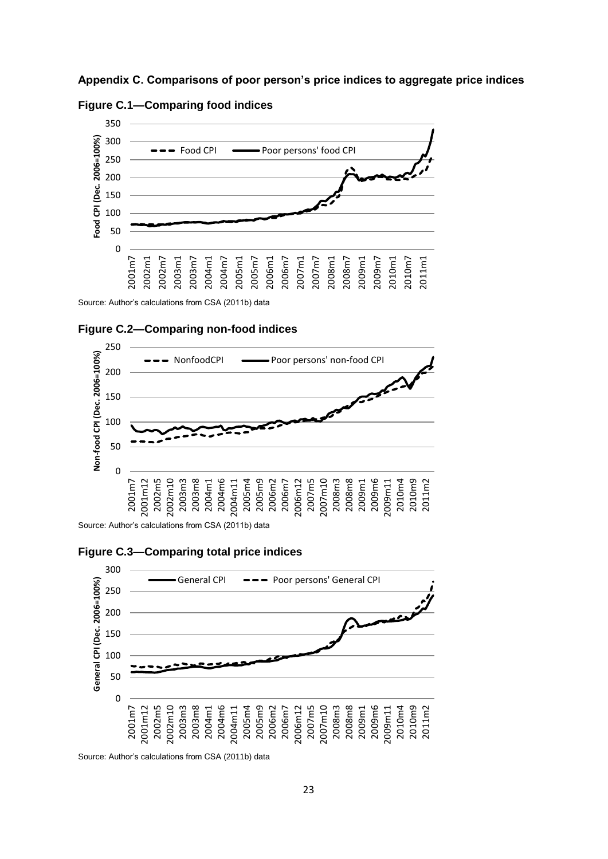<span id="page-28-1"></span><span id="page-28-0"></span>**Appendix C. Comparisons of poor person's price indices to aggregate price indices**





<span id="page-28-2"></span>Source: Author's calculations from CSA (2011b) data





<span id="page-28-3"></span>Source: Author's calculations from CSA (2011b) data





Source: Author's calculations from CSA (2011b) data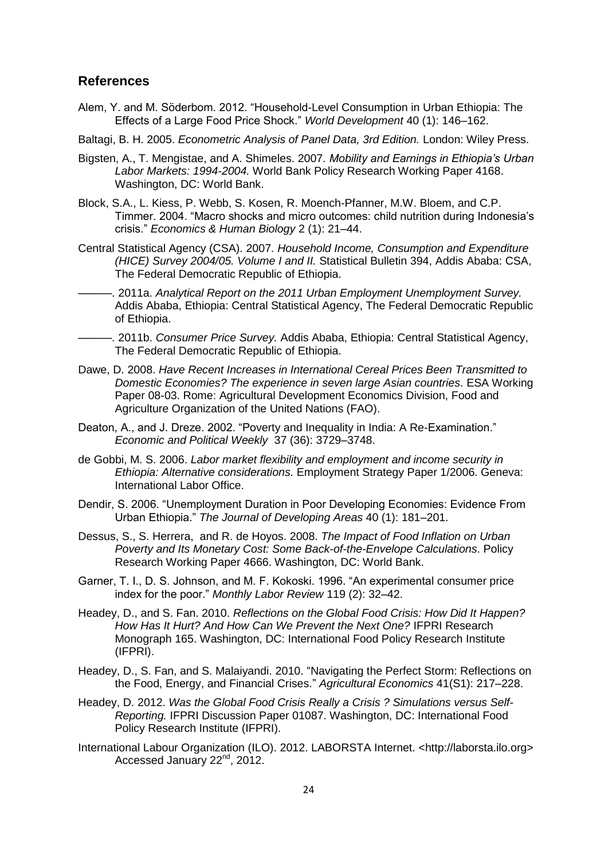### <span id="page-29-0"></span>**References**

- Alem, Y. and M. Söderbom. 2012. "Household-Level Consumption in Urban Ethiopia: The Effects of a Large Food Price Shock." *World Development* 40 (1): 146–162.
- Baltagi, B. H. 2005. *Econometric Analysis of Panel Data, 3rd Edition.* London: Wiley Press.
- Bigsten, A., T. Mengistae, and A. Shimeles. 2007. *Mobility and Earnings in Ethiopia's Urban Labor Markets: 1994-2004.* World Bank Policy Research Working Paper 4168. Washington, DC: World Bank.
- Block, S.A., L. Kiess, P. Webb, S. Kosen, R. Moench-Pfanner, M.W. Bloem, and C.P. Timmer. 2004. "Macro shocks and micro outcomes: child nutrition during Indonesia's crisis." *Economics & Human Biology* 2 (1): 21–44.
- Central Statistical Agency (CSA). 2007. *Household Income, Consumption and Expenditure (HICE) Survey 2004/05. Volume I and II.* Statistical Bulletin 394, Addis Ababa: CSA, The Federal Democratic Republic of Ethiopia.
- -. 2011a. Analytical Report on the 2011 Urban Employment Unemployment Survey. Addis Ababa, Ethiopia: Central Statistical Agency, The Federal Democratic Republic of Ethiopia.
	- ———. 2011b. *Consumer Price Survey.* Addis Ababa, Ethiopia: Central Statistical Agency, The Federal Democratic Republic of Ethiopia.
- Dawe, D. 2008. *Have Recent Increases in International Cereal Prices Been Transmitted to Domestic Economies? The experience in seven large Asian countries*. ESA Working Paper 08-03. Rome: Agricultural Development Economics Division, Food and Agriculture Organization of the United Nations (FAO).
- Deaton, A., and J. Dreze. 2002. "Poverty and Inequality in India: A Re-Examination." *Economic and Political Weekly* 37 (36): 3729–3748.
- de Gobbi, M. S. 2006. *Labor market flexibility and employment and income security in Ethiopia: Alternative considerations.* Employment Strategy Paper 1/2006. Geneva: International Labor Office.
- Dendir, S. 2006. "Unemployment Duration in Poor Developing Economies: Evidence From Urban Ethiopia." *The Journal of Developing Areas* 40 (1): 181–201.
- Dessus, S., S. Herrera, and R. de Hoyos. 2008. *The Impact of Food Inflation on Urban Poverty and Its Monetary Cost: Some Back-of-the-Envelope Calculations*. Policy Research Working Paper 4666. Washington, DC: World Bank.
- Garner, T. I., D. S. Johnson, and M. F. Kokoski. 1996. "An experimental consumer price index for the poor." *Monthly Labor Review* 119 (2): 32–42.
- Headey, D., and S. Fan. 2010. *Reflections on the Global Food Crisis: How Did It Happen? How Has It Hurt? And How Can We Prevent the Next One?* IFPRI Research Monograph 165. Washington, DC: International Food Policy Research Institute (IFPRI).
- Headey, D., S. Fan, and S. Malaiyandi. 2010. "Navigating the Perfect Storm: Reflections on the Food, Energy, and Financial Crises." *Agricultural Economics* 41(S1): 217–228.
- Headey, D. 2012. *Was the Global Food Crisis Really a Crisis ? Simulations versus Self-Reporting.* IFPRI Discussion Paper 01087. Washington, DC: International Food Policy Research Institute (IFPRI).
- International Labour Organization (ILO). 2012. LABORSTA Internet. <http://laborsta.ilo.org> Accessed January 22<sup>nd</sup>, 2012.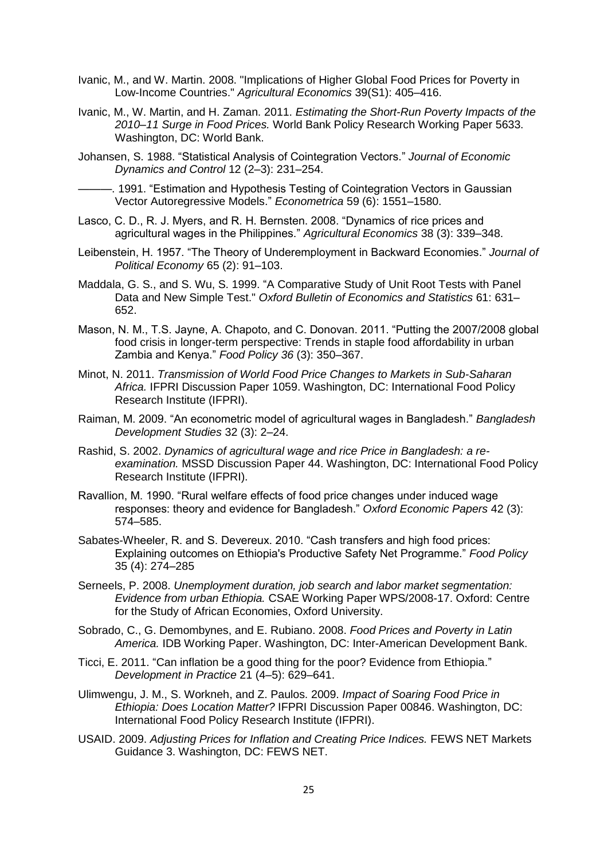- Ivanic, M., and W. Martin. 2008. "Implications of Higher Global Food Prices for Poverty in Low-Income Countries." *Agricultural Economics* 39(S1): 405–416.
- Ivanic, M., W. Martin, and H. Zaman. 2011. *Estimating the Short-Run Poverty Impacts of the 2010–11 Surge in Food Prices.* World Bank Policy Research Working Paper 5633. Washington, DC: World Bank.
- Johansen, S. 1988. "Statistical Analysis of Cointegration Vectors." *Journal of Economic Dynamics and Control* 12 (2–3): 231–254.
- ———. 1991. "Estimation and Hypothesis Testing of Cointegration Vectors in Gaussian Vector Autoregressive Models." *Econometrica* 59 (6): 1551–1580.
- Lasco, C. D., R. J. Myers, and R. H. Bernsten. 2008. "Dynamics of rice prices and agricultural wages in the Philippines." *Agricultural Economics* 38 (3): 339–348.
- Leibenstein, H. 1957. "The Theory of Underemployment in Backward Economies." *Journal of Political Economy* 65 (2): 91–103.
- Maddala, G. S., and S. Wu, S. 1999. "A Comparative Study of Unit Root Tests with Panel Data and New Simple Test." *Oxford Bulletin of Economics and Statistics* 61: 631– 652.
- Mason, N. M., T.S. Jayne, A. Chapoto, and C. Donovan. 2011. "Putting the 2007/2008 global food crisis in longer-term perspective: Trends in staple food affordability in urban Zambia and Kenya." *Food Policy 36* (3): 350–367.
- Minot, N. 2011. *Transmission of World Food Price Changes to Markets in Sub-Saharan Africa.* IFPRI Discussion Paper 1059. Washington, DC: International Food Policy Research Institute (IFPRI).
- Raiman, M. 2009. "An econometric model of agricultural wages in Bangladesh." *Bangladesh Development Studies* 32 (3): 2–24.
- Rashid, S. 2002. *Dynamics of agricultural wage and rice Price in Bangladesh: a reexamination.* MSSD Discussion Paper 44. Washington, DC: International Food Policy Research Institute (IFPRI).
- Ravallion, M. 1990. "Rural welfare effects of food price changes under induced wage responses: theory and evidence for Bangladesh." *Oxford Economic Papers* 42 (3): 574–585.
- Sabates-Wheeler, R. and S. Devereux. 2010. "Cash transfers and high food prices: Explaining outcomes on Ethiopia's Productive Safety Net Programme." *Food Policy* 35 (4): 274–285
- Serneels, P. 2008. *Unemployment duration, job search and labor market segmentation: Evidence from urban Ethiopia.* CSAE Working Paper WPS/2008-17. Oxford: Centre for the Study of African Economies, Oxford University.
- Sobrado, C., G. Demombynes, and E. Rubiano. 2008. *Food Prices and Poverty in Latin America.* IDB Working Paper. Washington, DC: Inter-American Development Bank.
- Ticci, E. 2011. "Can inflation be a good thing for the poor? Evidence from Ethiopia." *Development in Practice* 21 (4–5): 629–641.
- Ulimwengu, J. M., S. Workneh, and Z. Paulos. 2009. *Impact of Soaring Food Price in Ethiopia: Does Location Matter?* IFPRI Discussion Paper 00846. Washington, DC: International Food Policy Research Institute (IFPRI).
- USAID. 2009. *Adjusting Prices for Inflation and Creating Price Indices.* FEWS NET Markets Guidance 3. Washington, DC: FEWS NET.